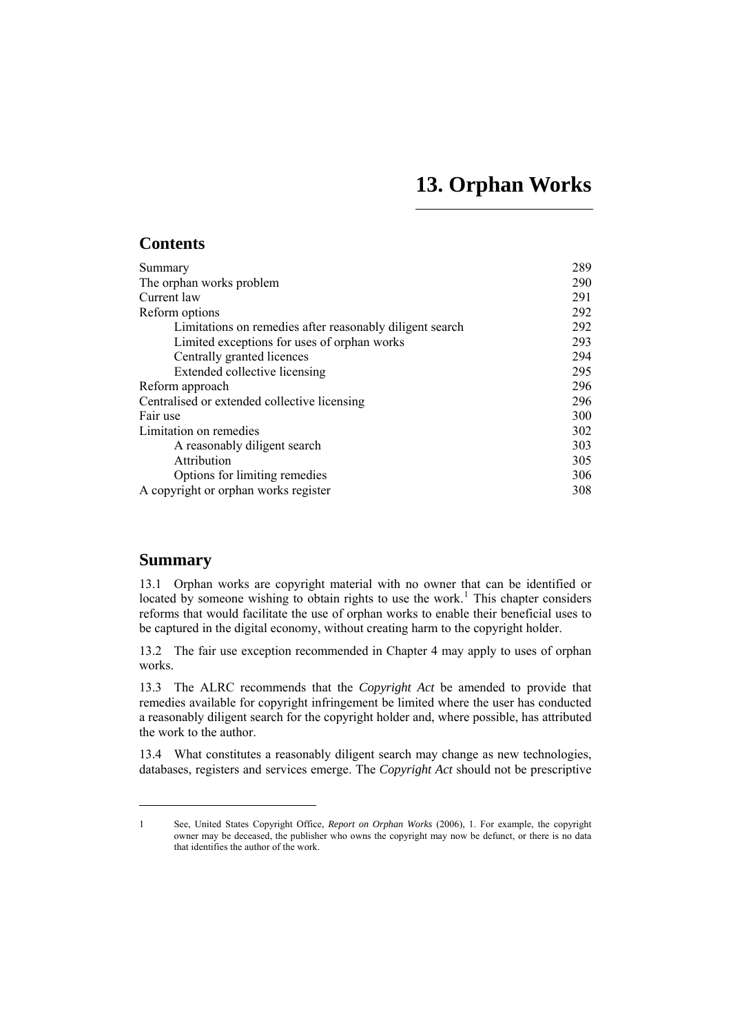# **13. Orphan Works**

# <span id="page-0-0"></span>**Contents**

| Summary                                                  | 289 |
|----------------------------------------------------------|-----|
| The orphan works problem                                 | 290 |
| Current law                                              | 291 |
| Reform options                                           | 292 |
| Limitations on remedies after reasonably diligent search | 292 |
| Limited exceptions for uses of orphan works              | 293 |
| Centrally granted licences                               | 294 |
| Extended collective licensing                            | 295 |
| Reform approach                                          | 296 |
| Centralised or extended collective licensing             | 296 |
| Fair use                                                 | 300 |
| Limitation on remedies                                   | 302 |
| A reasonably diligent search                             | 303 |
| Attribution                                              | 305 |
| Options for limiting remedies                            | 306 |
| A copyright or orphan works register                     | 308 |

# **Summary**

 $\overline{a}$ 

13.1 Orphan works are copyright material with no owner that can be identified or located by someone wishing to obtain rights to use the work.<sup>[1](#page-0-1)</sup> This chapter considers reforms that would facilitate the use of orphan works to enable their beneficial uses to be captured in the digital economy, without creating harm to the copyright holder.

13.2 The fair use exception recommended in Chapter 4 may apply to uses of orphan works.

13.3 The ALRC recommends that the *Copyright Act* be amended to provide that remedies available for copyright infringement be limited where the user has conducted a reasonably diligent search for the copyright holder and, where possible, has attributed the work to the author.

13.4 What constitutes a reasonably diligent search may change as new technologies, databases, registers and services emerge. The *Copyright Act* should not be prescriptive

<span id="page-0-1"></span><sup>1</sup> See, United States Copyright Office, *Report on Orphan Works* (2006), 1. For example, the copyright owner may be deceased, the publisher who owns the copyright may now be defunct, or there is no data that identifies the author of the work.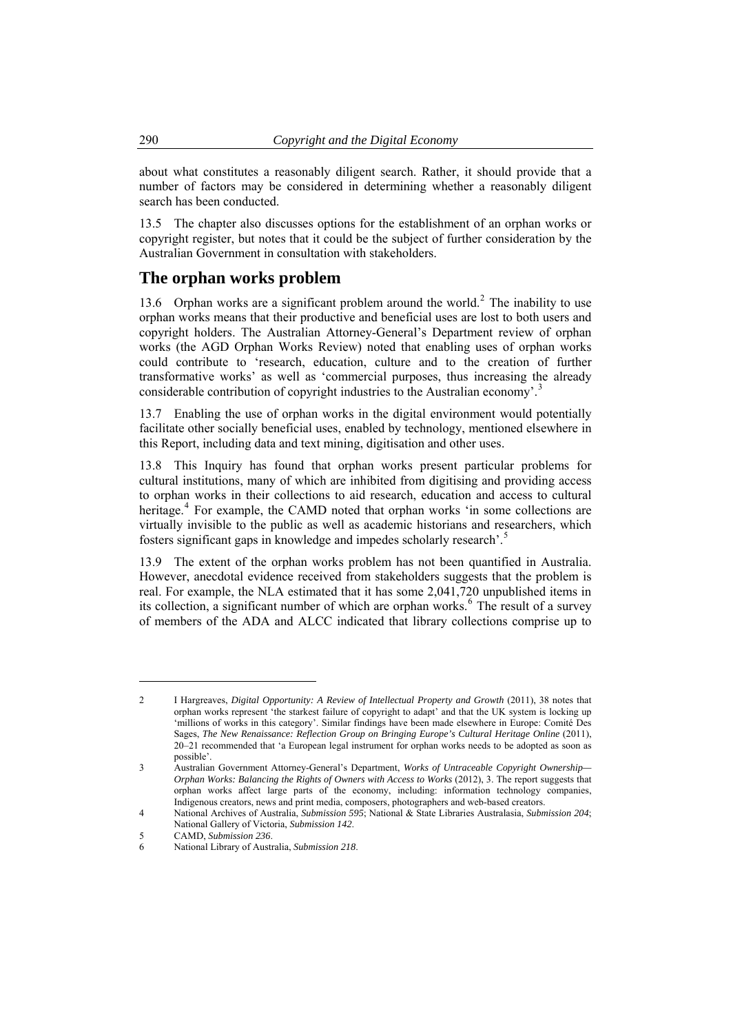<span id="page-1-0"></span>about what constitutes a reasonably diligent search. Rather, it should provide that a number of factors may be considered in determining whether a reasonably diligent search has been conducted.

13.5 The chapter also discusses options for the establishment of an orphan works or copyright register, but notes that it could be the subject of further consideration by the Australian Government in consultation with stakeholders.

## **The orphan works problem**

13.6 Orphan works are a significant problem around the world.<sup>[2](#page-1-1)</sup> The inability to use orphan works means that their productive and beneficial uses are lost to both users and copyright holders. The Australian Attorney-General's Department review of orphan works (the AGD Orphan Works Review) noted that enabling uses of orphan works could contribute to 'research, education, culture and to the creation of further transformative works' as well as 'commercial purposes, thus increasing the already considerable contribution of copyright industries to the Australian economy'.<sup>[3](#page-1-2)</sup>

13.7 Enabling the use of orphan works in the digital environment would potentially facilitate other socially beneficial uses, enabled by technology, mentioned elsewhere in this Report, including data and text mining, digitisation and other uses.

13.8 This Inquiry has found that orphan works present particular problems for cultural institutions, many of which are inhibited from digitising and providing access to orphan works in their collections to aid research, education and access to cultural heritage.<sup>[4](#page-1-3)</sup> For example, the CAMD noted that orphan works 'in some collections are virtually invisible to the public as well as academic historians and researchers, which fosters significant gaps in knowledge and impedes scholarly research'.[5](#page-1-4)

13.9 The extent of the orphan works problem has not been quantified in Australia. However, anecdotal evidence received from stakeholders suggests that the problem is real. For example, the NLA estimated that it has some 2,041,720 unpublished items in its collection, a significant number of which are orphan works.<sup>[6](#page-1-5)</sup> The result of a survey of members of the ADA and ALCC indicated that library collections comprise up to

<span id="page-1-1"></span><sup>2</sup> I Hargreaves, *Digital Opportunity: A Review of Intellectual Property and Growth* (2011), 38 notes that orphan works represent 'the starkest failure of copyright to adapt' and that the UK system is locking up 'millions of works in this category'. Similar findings have been made elsewhere in Europe: Comité Des Sages, *The New Renaissance: Reflection Group on Bringing Europe's Cultural Heritage Online* (2011), 20–21 recommended that 'a European legal instrument for orphan works needs to be adopted as soon as possible'.

<span id="page-1-2"></span><sup>3</sup> Australian Government Attorney-General's Department, *Works of Untraceable Copyright Ownership— Orphan Works: Balancing the Rights of Owners with Access to Works* (2012), 3. The report suggests that orphan works affect large parts of the economy, including: information technology companies, Indigenous creators, news and print media, composers, photographers and web-based creators.

<span id="page-1-3"></span><sup>4</sup> National Archives of Australia, *Submission 595*; National & State Libraries Australasia, *Submission 204*; National Gallery of Victoria, *Submission 142*.

<sup>5</sup> CAMD, *Submission 236*.

<span id="page-1-5"></span><span id="page-1-4"></span><sup>6</sup> National Library of Australia, *Submission 218*.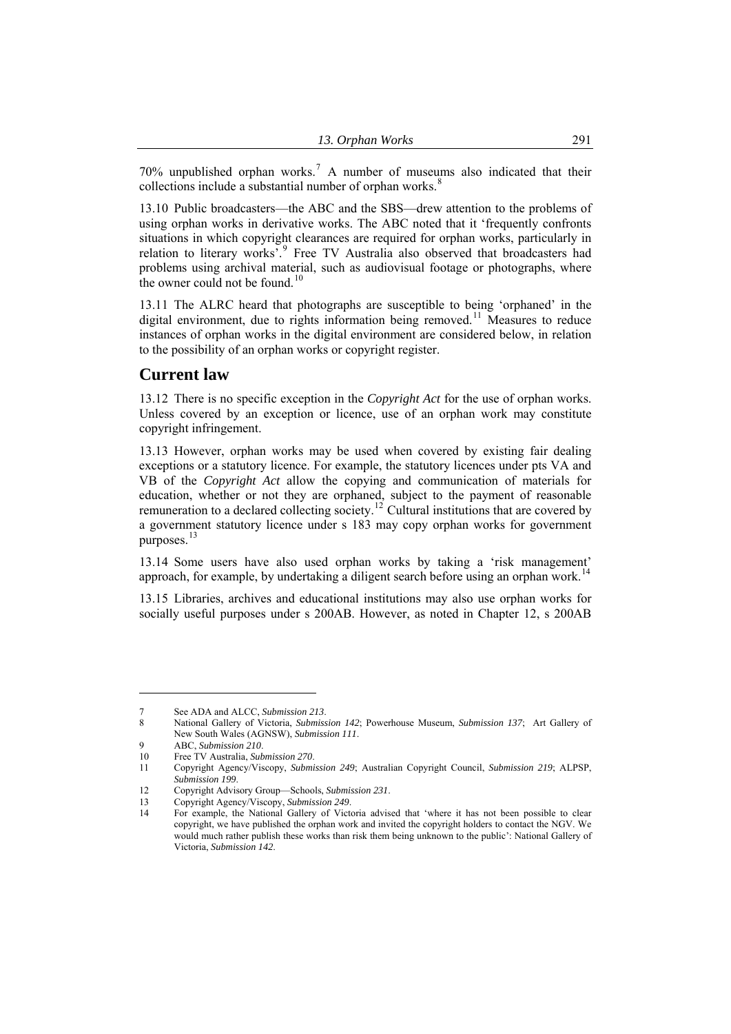<span id="page-2-0"></span>70% unpublished orphan works.<sup>7</sup> A number of museums also indicated that their collections include a substantial number of orphan works. $\frac{8}{3}$ 

13.10 Public broadcasters—the ABC and the SBS—drew attention to the problems of using orphan works in derivative works. The ABC noted that it 'frequently confronts situations in which copyright clearances are required for orphan works, particularly in relation to literary works<sup>5</sup>.<sup>[9](#page-2-1)</sup> Free TV Australia also observed that broadcasters had problems using archival material, such as audiovisual footage or photographs, where the owner could not be found.<sup>[10](#page-2-2)</sup>

13.11 The ALRC heard that photographs are susceptible to being 'orphaned' in the digital environment, due to rights information being removed.<sup>[11](#page-2-3)</sup> Measures to reduce instances of orphan works in the digital environment are considered below, in relation to the possibility of an orphan works or copyright register.

### **Current law**

13.12 There is no specific exception in the *Copyright Act* for the use of orphan works. Unless covered by an exception or licence, use of an orphan work may constitute copyright infringement.

13.13 However, orphan works may be used when covered by existing fair dealing exceptions or a statutory licence. For example, the statutory licences under pts VA and VB of the *Copyright Act* allow the copying and communication of materials for education, whether or not they are orphaned, subject to the payment of reasonable remuneration to a declared collecting society.<sup>[12](#page-2-4)</sup> Cultural institutions that are covered by a government statutory licence under s 183 may copy orphan works for government purposes.<sup>[13](#page-2-5)</sup>

13.14 Some users have also used orphan works by taking a 'risk management' approach, for example, by undertaking a diligent search before using an orphan work.<sup>[14](#page-2-6)</sup>

13.15 Libraries, archives and educational institutions may also use orphan works for socially useful purposes under s 200AB. However, as noted in Chapter 12, s 200AB

<sup>7</sup> See ADA and ALCC, *Submission 213*.

<sup>8</sup> National Gallery of Victoria, *Submission 142*; Powerhouse Museum, *Submission 137*; Art Gallery of New South Wales (AGNSW), *Submission 111*.

<span id="page-2-1"></span><sup>9</sup> ABC, *Submission 210*.

<sup>10</sup> Free TV Australia, *Submission 270*.

<span id="page-2-3"></span><span id="page-2-2"></span><sup>11</sup> Copyright Agency/Viscopy, *Submission 249*; Australian Copyright Council, *Submission 219*; ALPSP, *Submission 199*.

<span id="page-2-5"></span><span id="page-2-4"></span><sup>12</sup> Copyright Advisory Group—Schools, *Submission 231*.

<sup>13</sup> Copyright Agency/Viscopy, *Submission 249*.

<span id="page-2-6"></span><sup>14</sup> For example, the National Gallery of Victoria advised that 'where it has not been possible to clear copyright, we have published the orphan work and invited the copyright holders to contact the NGV. We would much rather publish these works than risk them being unknown to the public': National Gallery of Victoria, *Submission 142*.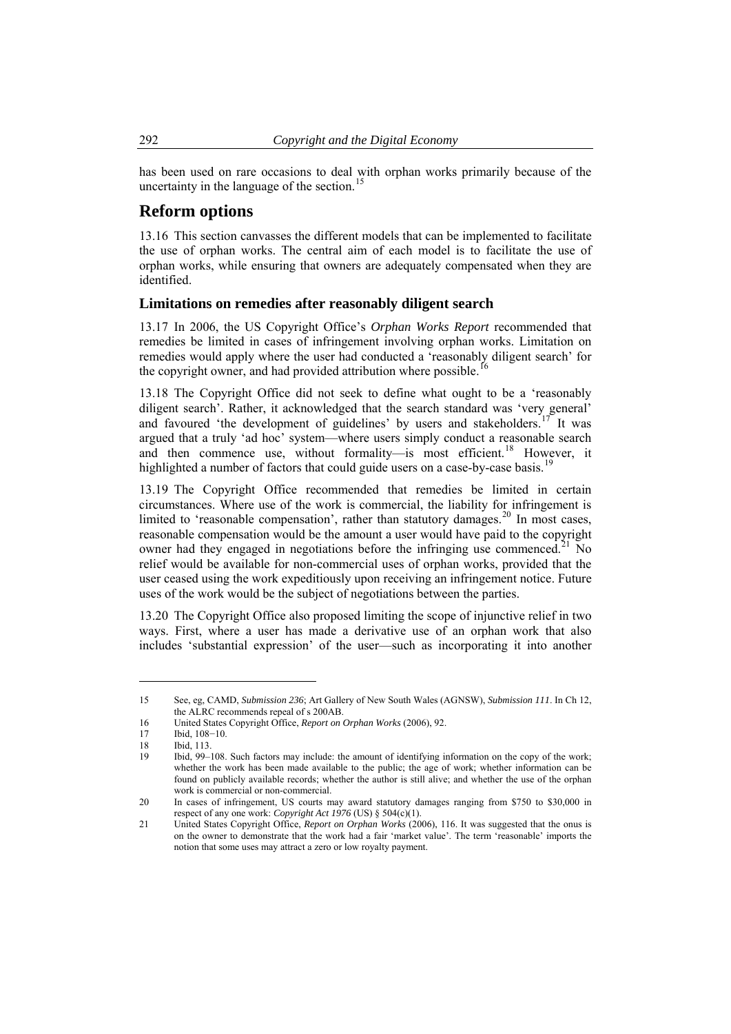has been used on rare occasions to deal with orphan works primarily because of the uncertainty in the language of the section.<sup>15</sup>

### **Reform options**

13.16 This section canvasses the different models that can be implemented to facilitate the use of orphan works. The central aim of each model is to facilitate the use of orphan works, while ensuring that owners are adequately compensated when they are identified.

#### **Limitations on remedies after reasonably diligent search**

13.17 In 2006, the US Copyright Office's *Orphan Works Report* recommended that remedies be limited in cases of infringement involving orphan works. Limitation on remedies would apply where the user had conducted a 'reasonably diligent search' for the copyright owner, and had provided attribution where possible.<sup>[16](#page-3-1)</sup>

13.18 The Copyright Office did not seek to define what ought to be a 'reasonably diligent search'. Rather, it acknowledged that the search standard was 'very general' and favoured 'the development of guidelines' by users and stakeholders.<sup>[17](#page-3-2)</sup> It was argued that a truly 'ad hoc' system—where users simply conduct a reasonable search and then commence use, without formality—is most efficient.<sup>[18](#page-3-3)</sup> However, it highlighted a number of factors that could guide users on a case-by-case basis.<sup>[19](#page-3-4)</sup>

13.19 The Copyright Office recommended that remedies be limited in certain circumstances. Where use of the work is commercial, the liability for infringement is limited to 'reasonable compensation', rather than statutory damages.<sup>[20](#page-3-5)</sup> In most cases, reasonable compensation would be the amount a user would have paid to the copyright owner had they engaged in negotiations before the infringing use commenced.<sup>[21](#page-3-6)</sup> No relief would be available for non-commercial uses of orphan works, provided that the user ceased using the work expeditiously upon receiving an infringement notice. Future uses of the work would be the subject of negotiations between the parties.

13.20 The Copyright Office also proposed limiting the scope of injunctive relief in two ways. First, where a user has made a derivative use of an orphan work that also includes 'substantial expression' of the user—such as incorporating it into another

<span id="page-3-0"></span>

<sup>15</sup> See, eg, CAMD, *Submission 236*; Art Gallery of New South Wales (AGNSW), *Submission 111*. In Ch 12, the ALRC recommends repeal of s 200AB.

<span id="page-3-1"></span><sup>16</sup> United States Copyright Office, *Report on Orphan Works* (2006), 92.

<span id="page-3-2"></span><sup>17</sup> Ibid, 108−10.<br>18 Ibid, 113.

<span id="page-3-3"></span><sup>18</sup> Ibid, 113.

<span id="page-3-4"></span><sup>19</sup> Ibid, 99–108. Such factors may include: the amount of identifying information on the copy of the work; whether the work has been made available to the public; the age of work; whether information can be found on publicly available records; whether the author is still alive; and whether the use of the orphan work is commercial or non-commercial.

<span id="page-3-5"></span><sup>20</sup> In cases of infringement, US courts may award statutory damages ranging from \$750 to \$30,000 in respect of any one work: *Copyright Act 1976* (US) § 504(c)(1).

<span id="page-3-6"></span><sup>21</sup> United States Copyright Office, *Report on Orphan Works* (2006), 116. It was suggested that the onus is on the owner to demonstrate that the work had a fair 'market value'. The term 'reasonable' imports the notion that some uses may attract a zero or low royalty payment.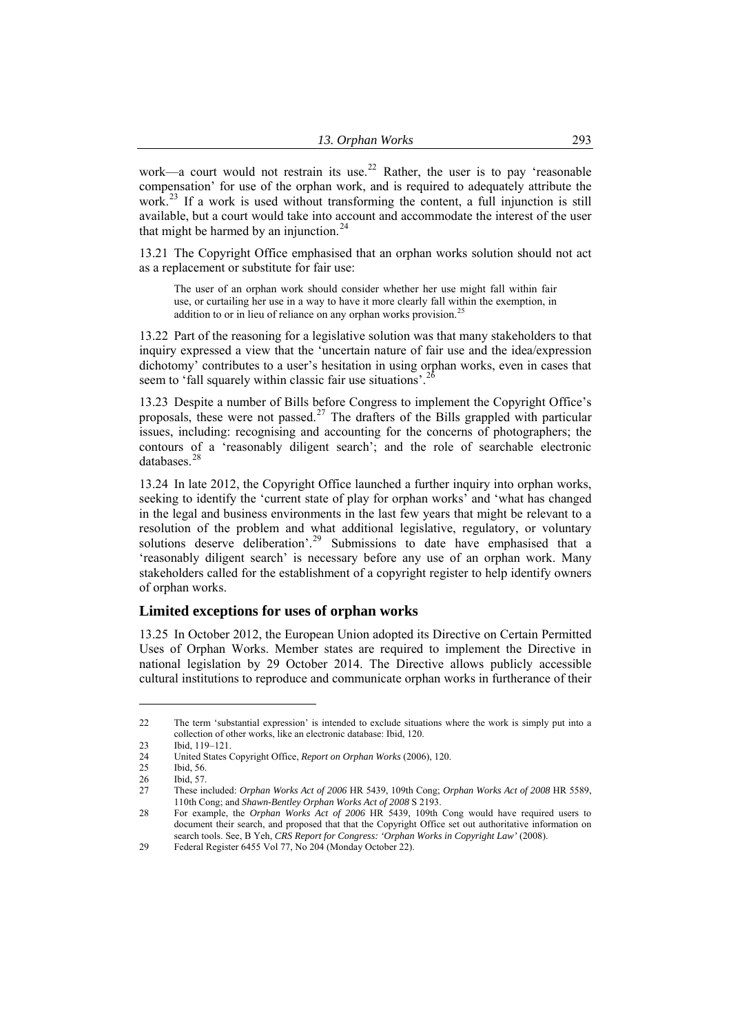<span id="page-4-0"></span>work—a court would not restrain its use.<sup>22</sup> Rather, the user is to pay 'reasonable compensation' for use of the orphan work, and is required to adequately attribute the work.<sup>23</sup> If a work is used without transforming the content, a full injunction is still available, but a court would take into account and accommodate the interest of the user that might be harmed by an injunction.<sup>24</sup>

13.21 The Copyright Office emphasised that an orphan works solution should not act as a replacement or substitute for fair use:

The user of an orphan work should consider whether her use might fall within fair use, or curtailing her use in a way to have it more clearly fall within the exemption, in addition to or in lieu of reliance on any orphan works provision.<sup>[25](#page-4-1)</sup>

13.22 Part of the reasoning for a legislative solution was that many stakeholders to that inquiry expressed a view that the 'uncertain nature of fair use and the idea/expression dichotomy' contributes to a user's hesitation in using orphan works, even in cases that seem to 'fall squarely within classic fair use situations'.<sup>[26](#page-4-2)</sup>

13.23 Despite a number of Bills before Congress to implement the Copyright Office's proposals, these were not passed.<sup>[27](#page-4-3)</sup> The drafters of the Bills grappled with particular issues, including: recognising and accounting for the concerns of photographers; the contours of a 'reasonably diligent search'; and the role of searchable electronic databases.<sup>[28](#page-4-4)</sup>

13.24 In late 2012, the Copyright Office launched a further inquiry into orphan works, seeking to identify the 'current state of play for orphan works' and 'what has changed in the legal and business environments in the last few years that might be relevant to a resolution of the problem and what additional legislative, regulatory, or voluntary solutions deserve deliberation'.<sup>[29](#page-4-5)</sup> Submissions to date have emphasised that a 'reasonably diligent search' is necessary before any use of an orphan work. Many stakeholders called for the establishment of a copyright register to help identify owners of orphan works.

### **Limited exceptions for uses of orphan works**

13.25 In October 2012, the European Union adopted its Directive on Certain Permitted Uses of Orphan Works. Member states are required to implement the Directive in national legislation by 29 October 2014. The Directive allows publicly accessible cultural institutions to reproduce and communicate orphan works in furtherance of their

<sup>22</sup> The term 'substantial expression' is intended to exclude situations where the work is simply put into a collection of other works, like an electronic database: Ibid, 120.

<sup>23</sup> Ibid, 119–121.

<sup>24</sup> United States Copyright Office, *Report on Orphan Works* (2006), 120.

<span id="page-4-1"></span><sup>25</sup> Ibid, 56.

<sup>26</sup> Ibid, 57.<br>27 These in

<span id="page-4-3"></span><span id="page-4-2"></span><sup>27</sup> These included: *Orphan Works Act of 2006* HR 5439, 109th Cong; *Orphan Works Act of 2008* HR 5589, 110th Cong; and *Shawn-Bentley Orphan Works Act of 2008* S 2193.

<span id="page-4-4"></span><sup>28</sup> For example, the *Orphan Works Act of 2006* HR 5439, 109th Cong would have required users to document their search, and proposed that that the Copyright Office set out authoritative information on search tools. See, B Yeh, *CRS Report for Congress: 'Orphan Works in Copyright Law'* (2008).

<span id="page-4-5"></span><sup>29</sup> Federal Register 6455 Vol 77, No 204 (Monday October 22).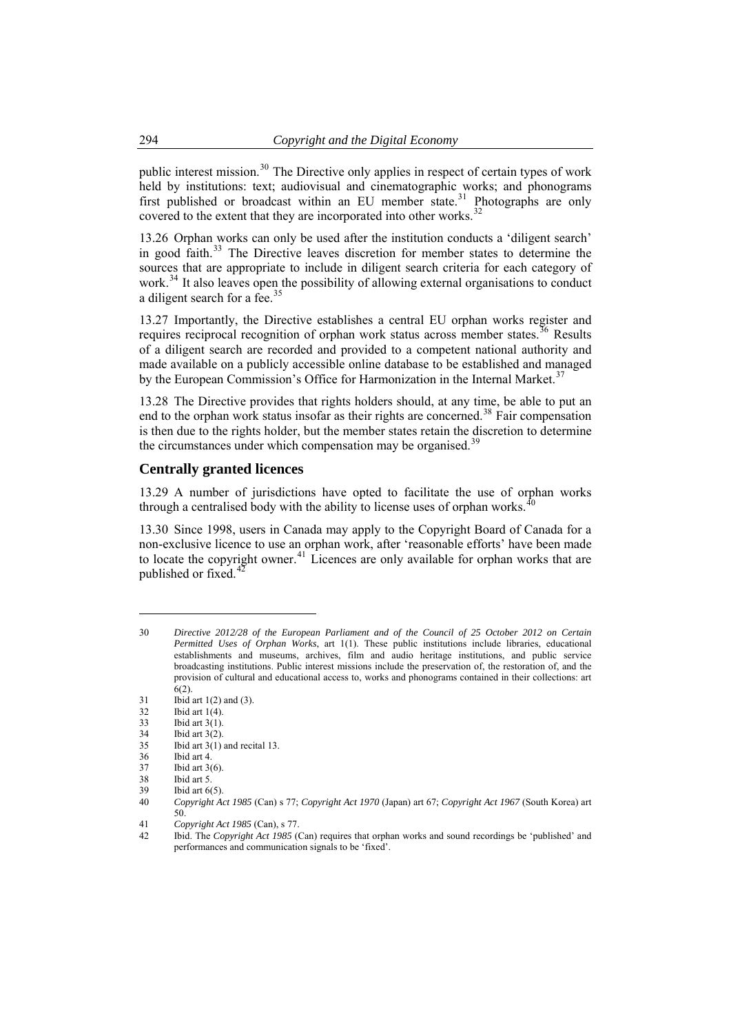<span id="page-5-0"></span>public interest mission.<sup>30</sup> The Directive only applies in respect of certain types of work held by institutions: text; audiovisual and cinematographic works; and phonograms first published or broadcast within an EU member state.<sup>31</sup> Photographs are only covered to the extent that they are incorporated into other works.<sup>32</sup>

13.26 Orphan works can only be used after the institution conducts a 'diligent search' in good faith. $33$  The Directive leaves discretion for member states to determine the sources that are appropriate to include in diligent search criteria for each category of work.<sup>[34](#page-5-2)</sup> It also leaves open the possibility of allowing external organisations to conduct a diligent search for a fee.<sup>3</sup>

13.27 Importantly, the Directive establishes a central EU orphan works register and requires reciprocal recognition of orphan work status across member states.<sup>[36](#page-5-4)</sup> Results of a diligent search are recorded and provided to a competent national authority and made available on a publicly accessible online database to be established and managed by the European Commission's Office for Harmonization in the Internal Market.<sup>[37](#page-5-5)</sup>

13.28 The Directive provides that rights holders should, at any time, be able to put an end to the orphan work status insofar as their rights are concerned.<sup>[38](#page-5-6)</sup> Fair compensation is then due to the rights holder, but the member states retain the discretion to determine the circumstances under which compensation may be organised.<sup>[39](#page-5-7)</sup>

### **Centrally granted licences**

13.29 A number of jurisdictions have opted to facilitate the use of orphan works through a centralised body with the ability to license uses of orphan works.<sup>[40](#page-5-8)</sup>

13.30 Since 1998, users in Canada may apply to the Copyright Board of Canada for a non-exclusive licence to use an orphan work, after 'reasonable efforts' have been made to locate the copyright owner.<sup>[41](#page-5-9)</sup> Licences are only available for orphan works that are published or fixed.<sup>4</sup>

 $\overline{a}$ 

<span id="page-5-3"></span>Ibid art  $3(1)$  and recital 13.

<sup>30</sup> *Directive 2012/28 of the European Parliament and of the Council of 25 October 2012 on Certain Permitted Uses of Orphan Works*, art 1(1). These public institutions include libraries, educational establishments and museums, archives, film and audio heritage institutions, and public service broadcasting institutions. Public interest missions include the preservation of, the restoration of, and the provision of cultural and educational access to, works and phonograms contained in their collections: art 6(2).

 $31$  Ibid art 1(2) and (3).<br> $32$  Ibid art 1(4).

Ibid art  $1(4)$ .

<span id="page-5-1"></span><sup>33</sup> Ibid art 3(1).

<span id="page-5-2"></span><sup>34</sup> Ibid art 3(2).<br>35 Ibid art 3(1)

<span id="page-5-4"></span><sup>36</sup> Ibid art 4.

<span id="page-5-5"></span><sup>37</sup> Ibid art 3(6).

<span id="page-5-6"></span><sup>38</sup> Ibid art 5. Ibid art  $6(5)$ .

<span id="page-5-8"></span><span id="page-5-7"></span><sup>40</sup> *Copyright Act 1985* (Can) s 77; *Copyright Act 1970* (Japan) art 67; *Copyright Act 1967* (South Korea) art 50.

<sup>41</sup> *Copyright Act 1985* (Can), s 77.

<span id="page-5-10"></span><span id="page-5-9"></span><sup>42</sup> Ibid. The *Copyright Act 1985* (Can) requires that orphan works and sound recordings be 'published' and performances and communication signals to be 'fixed'.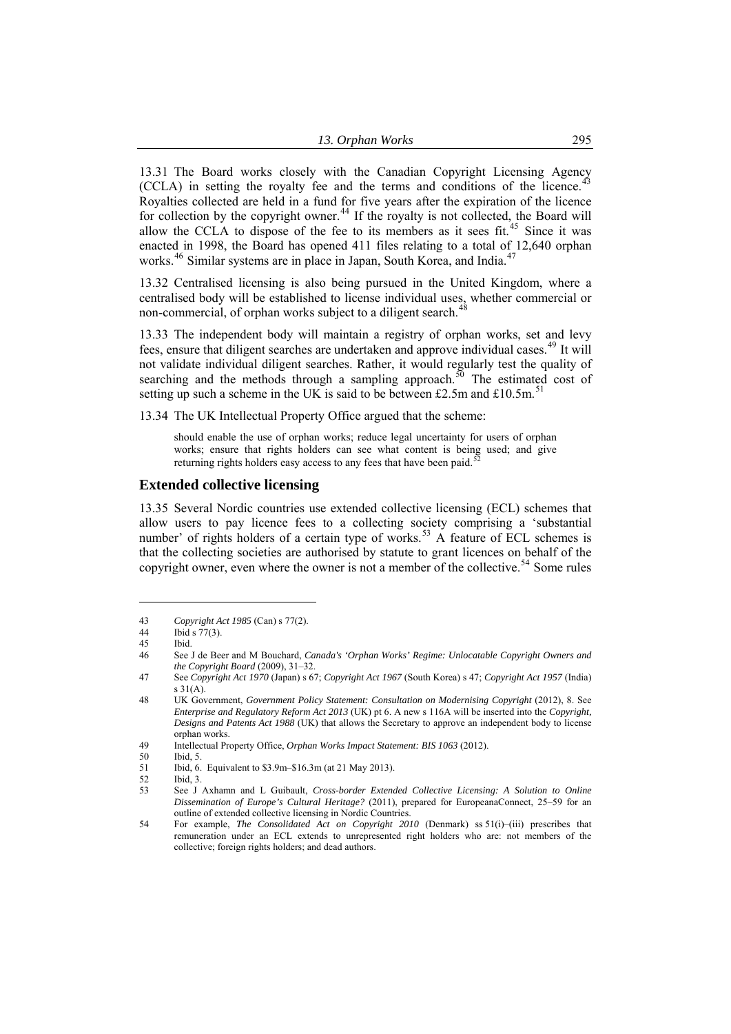<span id="page-6-0"></span>13.31 The Board works closely with the Canadian Copyright Licensing Agency (CCLA) in setting the royalty fee and the terms and conditions of the licence.<sup>[43](#page-6-1)</sup> Royalties collected are held in a fund for five years after the expiration of the licence for collection by the copyright owner.<sup>[44](#page-6-2)</sup> If the royalty is not collected, the Board will allow the CCLA to dispose of the fee to its members as it sees fit.<sup>[45](#page-6-3)</sup> Since it was enacted in 1998, the Board has opened 411 files relating to a total of 12,640 orphan works.<sup>[46](#page-6-4)</sup> Similar systems are in place in Japan, South Korea, and India.<sup>[47](#page-6-5)</sup>

13.32 Centralised licensing is also being pursued in the United Kingdom, where a centralised body will be established to license individual uses, whether commercial or non-commercial, of orphan works subject to a diligent search.

13.33 The independent body will maintain a registry of orphan works, set and levy fees, ensure that diligent searches are undertaken and approve individual cases.<sup>[49](#page-6-7)</sup> It will not validate individual diligent searches. Rather, it would regularly test the quality of searching and the methods through a sampling approach.<sup>[50](#page-6-8)</sup> The estimated cost of setting up such a scheme in the UK is said to be between £2.5m and  $£10.5m<sup>51</sup>$  $£10.5m<sup>51</sup>$  $£10.5m<sup>51</sup>$ 

13.34 The UK Intellectual Property Office argued that the scheme:

should enable the use of orphan works; reduce legal uncertainty for users of orphan works; ensure that rights holders can see what content is being used; and give returning rights holders easy access to any fees that have been paid.<sup>5</sup>

#### **Extended collective licensing**

13.35 Several Nordic countries use extended collective licensing (ECL) schemes that allow users to pay licence fees to a collecting society comprising a 'substantial number' of rights holders of a certain type of works.<sup>[53](#page-6-11)</sup> A feature of ECL schemes is that the collecting societies are authorised by statute to grant licences on behalf of the copyright owner, even where the owner is not a member of the collective.<sup>[54](#page-6-12)</sup> Some rules

 $\overline{a}$ 

<span id="page-6-11"></span><span id="page-6-10"></span><span id="page-6-9"></span><span id="page-6-8"></span>52 Ibid, 3.<br>53 See J

<span id="page-6-1"></span><sup>43</sup> *Copyright Act 1985* (Can) s 77(2).

<span id="page-6-2"></span><sup>44</sup> Ibid s 77(3).

<span id="page-6-3"></span><sup>45</sup> Ibid.

<span id="page-6-4"></span><sup>46</sup> See J de Beer and M Bouchard, *Canada's 'Orphan Works' Regime: Unlocatable Copyright Owners and the Copyright Board* (2009), 31–32.

<span id="page-6-5"></span><sup>47</sup> See *Copyright Act 1970* (Japan) s 67; *Copyright Act 1967* (South Korea) s 47; *Copyright Act 1957* (India) s 31(A).

<span id="page-6-6"></span><sup>48</sup> UK Government, *Government Policy Statement: Consultation on Modernising Copyright* (2012), 8. See *Enterprise and Regulatory Reform Act 2013* (UK) pt 6. A new s 116A will be inserted into the *Copyright, Designs and Patents Act 1988* (UK) that allows the Secretary to approve an independent body to license orphan works.

<span id="page-6-7"></span><sup>49</sup> Intellectual Property Office, *Orphan Works Impact Statement: BIS 1063* (2012).

<sup>50</sup> Ibid, 5.

<sup>51</sup> Ibid, 6. Equivalent to \$3.9m–\$16.3m (at 21 May 2013).

<sup>53</sup> See J Axhamn and L Guibault, *Cross-border Extended Collective Licensing: A Solution to Online Dissemination of Europe's Cultural Heritage?* (2011), prepared for EuropeanaConnect, 25–59 for an outline of extended collective licensing in Nordic Countries.

<span id="page-6-12"></span><sup>54</sup> For example, *The Consolidated Act on Copyright 2010* (Denmark) ss 51(i)–(iii) prescribes that remuneration under an ECL extends to unrepresented right holders who are: not members of the collective; foreign rights holders; and dead authors.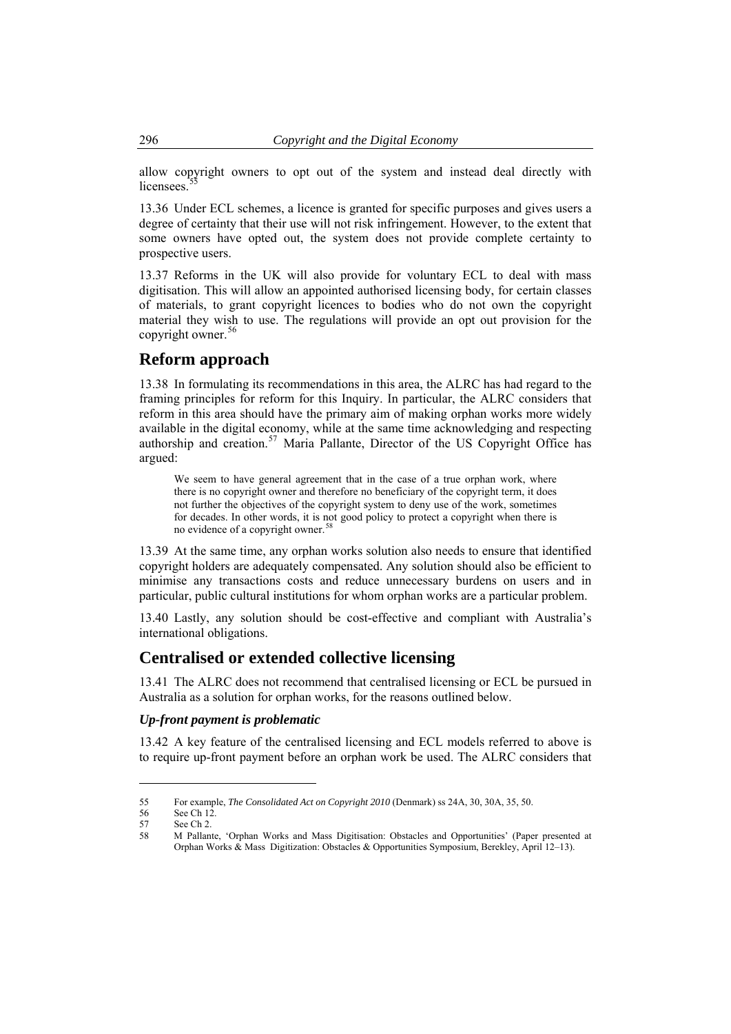allow copyright owners to opt out of the system and instead deal directly with licensees<sup>5</sup>

13.36 Under ECL schemes, a licence is granted for specific purposes and gives users a degree of certainty that their use will not risk infringement. However, to the extent that some owners have opted out, the system does not provide complete certainty to prospective users.

13.37 Reforms in the UK will also provide for voluntary ECL to deal with mass digitisation. This will allow an appointed authorised licensing body, for certain classes of materials, to grant copyright licences to bodies who do not own the copyright material they wish to use. The regulations will provide an opt out provision for the copyright owner.<sup>[56](#page-7-1)</sup>

## **Reform approach**

13.38 In formulating its recommendations in this area, the ALRC has had regard to the framing principles for reform for this Inquiry. In particular, the ALRC considers that reform in this area should have the primary aim of making orphan works more widely available in the digital economy, while at the same time acknowledging and respecting authorship and creation.<sup>[57](#page-7-2)</sup> Maria Pallante, Director of the US Copyright Office has argued:

We seem to have general agreement that in the case of a true orphan work, where there is no copyright owner and therefore no beneficiary of the copyright term, it does not further the objectives of the copyright system to deny use of the work, sometimes for decades. In other words, it is not good policy to protect a copyright when there is no evidence of a copyright owner.<sup>[58](#page-7-3)</sup>

13.39 At the same time, any orphan works solution also needs to ensure that identified copyright holders are adequately compensated. Any solution should also be efficient to minimise any transactions costs and reduce unnecessary burdens on users and in particular, public cultural institutions for whom orphan works are a particular problem.

13.40 Lastly, any solution should be cost-effective and compliant with Australia's international obligations.

## **Centralised or extended collective licensing**

13.41 The ALRC does not recommend that centralised licensing or ECL be pursued in Australia as a solution for orphan works, for the reasons outlined below.

#### *Up-front payment is problematic*

13.42 A key feature of the centralised licensing and ECL models referred to above is to require up-front payment before an orphan work be used. The ALRC considers that

<span id="page-7-0"></span>

<sup>55</sup> For example, *The Consolidated Act on Copyright 2010* (Denmark) ss 24A, 30, 30A, 35, 50.

<span id="page-7-1"></span><sup>56</sup> See Ch 12<br>57 See Ch 2.

<sup>57</sup> See Ch 2.<br>58 M Pallan

<span id="page-7-3"></span><span id="page-7-2"></span><sup>58</sup> M Pallante, 'Orphan Works and Mass Digitisation: Obstacles and Opportunities' (Paper presented at Orphan Works & Mass Digitization: Obstacles & Opportunities Symposium, Berekley, April 12–13).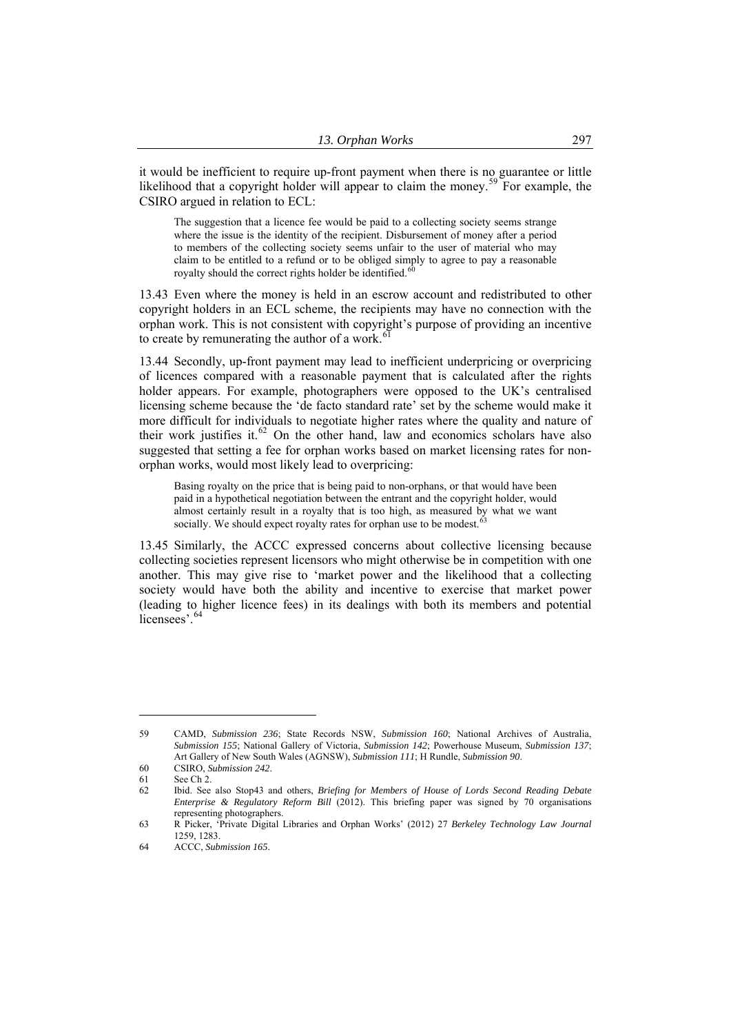it would be inefficient to require up-front payment when there is no guarantee or little likelihood that a copyright holder will appear to claim the money.<sup>59</sup> For example, the CSIRO argued in relation to ECL:

The suggestion that a licence fee would be paid to a collecting society seems strange where the issue is the identity of the recipient. Disbursement of money after a period to members of the collecting society seems unfair to the user of material who may claim to be entitled to a refund or to be obliged simply to agree to pay a reasonable royalty should the correct rights holder be identified.<sup>6</sup>

13.43 Even where the money is held in an escrow account and redistributed to other copyright holders in an ECL scheme, the recipients may have no connection with the orphan work. This is not consistent with copyright's purpose of providing an incentive to create by remunerating the author of a work.

13.44 Secondly, up-front payment may lead to inefficient underpricing or overpricing of licences compared with a reasonable payment that is calculated after the rights holder appears. For example, photographers were opposed to the UK's centralised licensing scheme because the 'de facto standard rate' set by the scheme would make it more difficult for individuals to negotiate higher rates where the quality and nature of their work justifies it. $62$  On the other hand, law and economics scholars have also suggested that setting a fee for orphan works based on market licensing rates for nonorphan works, would most likely lead to overpricing:

Basing royalty on the price that is being paid to non-orphans, or that would have been paid in a hypothetical negotiation between the entrant and the copyright holder, would almost certainly result in a royalty that is too high, as measured by what we want socially. We should expect royalty rates for orphan use to be modest.<sup>6</sup>

13.45 Similarly, the ACCC expressed concerns about collective licensing because collecting societies represent licensors who might otherwise be in competition with one another. This may give rise to 'market power and the likelihood that a collecting society would have both the ability and incentive to exercise that market power (leading to higher licence fees) in its dealings with both its members and potential licensees'.<sup>[64](#page-8-4)</sup>

<sup>59</sup> CAMD, *Submission 236*; State Records NSW, *Submission 160*; National Archives of Australia, *Submission 155*; National Gallery of Victoria, *Submission 142*; Powerhouse Museum, *Submission 137*; Art Gallery of New South Wales (AGNSW), *Submission 111*; H Rundle, *Submission 90*.

<span id="page-8-1"></span><span id="page-8-0"></span><sup>60</sup> CSIRO, *Submission 242*.

<sup>61</sup> See Ch 2.

<span id="page-8-2"></span><sup>62</sup> Ibid. See also Stop43 and others, *Briefing for Members of House of Lords Second Reading Debate Enterprise & Regulatory Reform Bill* (2012). This briefing paper was signed by 70 organisations representing photographers.

<span id="page-8-3"></span><sup>63</sup> R Picker, 'Private Digital Libraries and Orphan Works' (2012) 27 *Berkeley Technology Law Journal*  1259, 1283.

<span id="page-8-4"></span><sup>64</sup> ACCC, *Submission 165*.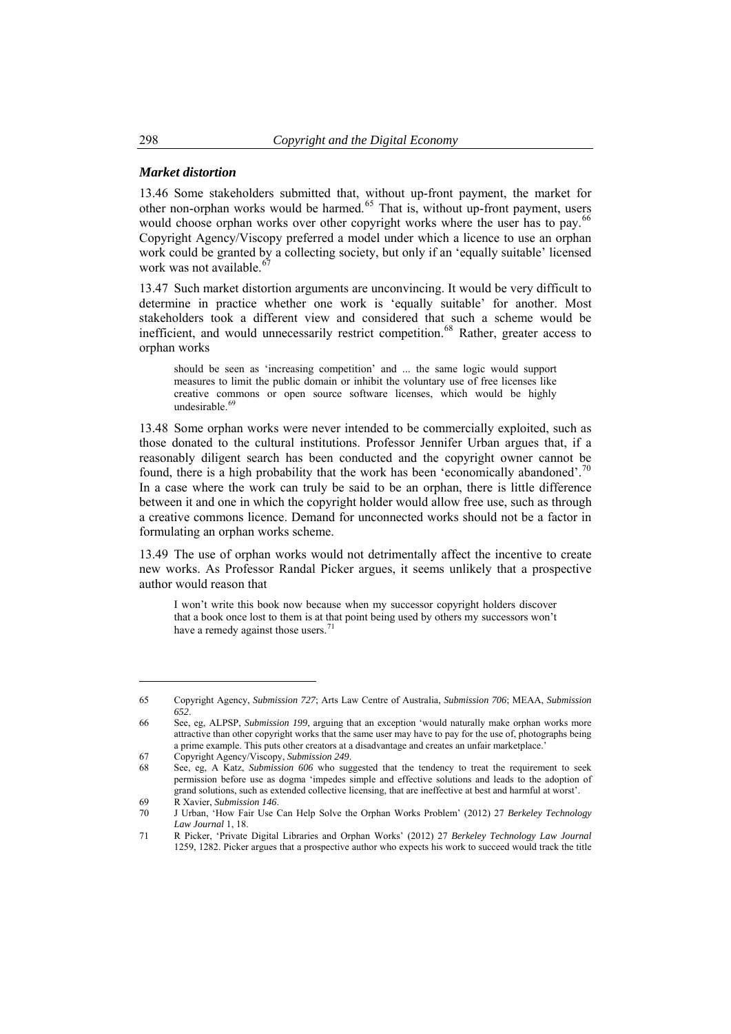#### *Market distortion*

13.46 Some stakeholders submitted that, without up-front payment, the market for other non-orphan works would be harmed.<sup>[65](#page-9-0)</sup> That is, without up-front payment, users would choose orphan works over other copyright works where the user has to pay.<sup>[66](#page-9-1)</sup> Copyright Agency/Viscopy preferred a model under which a licence to use an orphan work could be granted by a collecting society, but only if an 'equally suitable' licensed work was not available. $67$ 

13.47 Such market distortion arguments are unconvincing. It would be very difficult to determine in practice whether one work is 'equally suitable' for another. Most stakeholders took a different view and considered that such a scheme would be inefficient, and would unnecessarily restrict competition.<sup>[68](#page-9-3)</sup> Rather, greater access to orphan works

should be seen as 'increasing competition' and ... the same logic would support measures to limit the public domain or inhibit the voluntary use of free licenses like creative commons or open source software licenses, which would be highly undesirable.<sup>6</sup>

13.48 Some orphan works were never intended to be commercially exploited, such as those donated to the cultural institutions. Professor Jennifer Urban argues that, if a reasonably diligent search has been conducted and the copyright owner cannot be found, there is a high probability that the work has been 'economically abandoned'.<sup>[70](#page-9-5)</sup> In a case where the work can truly be said to be an orphan, there is little difference between it and one in which the copyright holder would allow free use, such as through a creative commons licence. Demand for unconnected works should not be a factor in formulating an orphan works scheme.

13.49 The use of orphan works would not detrimentally affect the incentive to create new works. As Professor Randal Picker argues, it seems unlikely that a prospective author would reason that

I won't write this book now because when my successor copyright holders discover that a book once lost to them is at that point being used by others my successors won't have a remedy against those users.<sup>7</sup>

<span id="page-9-0"></span><sup>65</sup> Copyright Agency, *Submission 727*; Arts Law Centre of Australia, *Submission 706*; MEAA, *Submission 652*.

<span id="page-9-1"></span><sup>66</sup> See, eg, ALPSP, *Submission 199*, arguing that an exception 'would naturally make orphan works more attractive than other copyright works that the same user may have to pay for the use of, photographs being a prime example. This puts other creators at a disadvantage and creates an unfair marketplace.'

<span id="page-9-2"></span><sup>67</sup> Copyright Agency/Viscopy, *Submission 249*.

<span id="page-9-3"></span><sup>68</sup> See, eg, A Katz, *Submission 606* who suggested that the tendency to treat the requirement to seek permission before use as dogma 'impedes simple and effective solutions and leads to the adoption of grand solutions, such as extended collective licensing, that are ineffective at best and harmful at worst'.

<sup>69</sup> R Xavier, *Submission 146*.

<span id="page-9-5"></span><span id="page-9-4"></span><sup>70</sup> J Urban, 'How Fair Use Can Help Solve the Orphan Works Problem' (2012) 27 *Berkeley Technology Law Journal* 1, 18.

<span id="page-9-6"></span><sup>71</sup> R Picker, 'Private Digital Libraries and Orphan Works' (2012) 27 *Berkeley Technology Law Journal*  1259, 1282. Picker argues that a prospective author who expects his work to succeed would track the title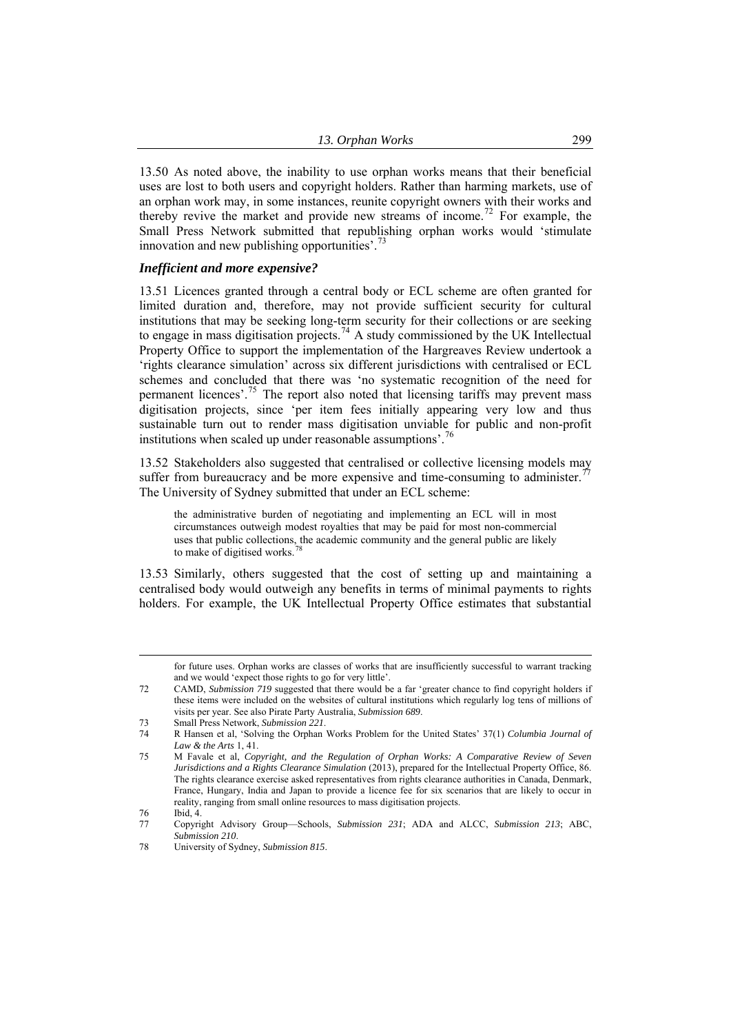13.50 As noted above, the inability to use orphan works means that their beneficial uses are lost to both users and copyright holders. Rather than harming markets, use of an orphan work may, in some instances, reunite copyright owners with their works and thereby revive the market and provide new streams of income.<sup>[72](#page-10-0)</sup> For example, the Small Press Network submitted that republishing orphan works would 'stimulate innovation and new publishing opportunities'.<sup>[73](#page-10-1)</sup>

#### *Inefficient and more expensive?*

13.51 Licences granted through a central body or ECL scheme are often granted for limited duration and, therefore, may not provide sufficient security for cultural institutions that may be seeking long-term security for their collections or are seeking to engage in mass digitisation projects.<sup>[74](#page-10-2)</sup> A study commissioned by the UK Intellectual Property Office to support the implementation of the Hargreaves Review undertook a 'rights clearance simulation' across six different jurisdictions with centralised or ECL schemes and concluded that there was 'no systematic recognition of the need for permanent licences'.<sup>[75](#page-10-3)</sup> The report also noted that licensing tariffs may prevent mass digitisation projects, since 'per item fees initially appearing very low and thus sustainable turn out to render mass digitisation unviable for public and non-profit institutions when scaled up under reasonable assumptions'.<sup>[76](#page-10-4)</sup>

13.52 Stakeholders also suggested that centralised or collective licensing models may suffer from bureaucracy and be more expensive and time-consuming to administer.<sup>7</sup> The University of Sydney submitted that under an ECL scheme:

the administrative burden of negotiating and implementing an ECL will in most circumstances outweigh modest royalties that may be paid for most non-commercial uses that public collections, the academic community and the general public are likely to make of digitised works.<sup>7</sup>

13.53 Similarly, others suggested that the cost of setting up and maintaining a centralised body would outweigh any benefits in terms of minimal payments to rights holders. For example, the UK Intellectual Property Office estimates that substantial

for future uses. Orphan works are classes of works that are insufficiently successful to warrant tracking and we would 'expect those rights to go for very little'.

<span id="page-10-0"></span><sup>72</sup> CAMD, *Submission 719* suggested that there would be a far 'greater chance to find copyright holders if these items were included on the websites of cultural institutions which regularly log tens of millions of visits per year. See also Pirate Party Australia, *Submission 689*.

<sup>73</sup> Small Press Network, *Submission 221*.

<span id="page-10-2"></span><span id="page-10-1"></span><sup>74</sup> R Hansen et al, 'Solving the Orphan Works Problem for the United States' 37(1) *Columbia Journal of Law & the Arts* 1, 41.

<span id="page-10-3"></span><sup>75</sup> M Favale et al, *Copyright, and the Regulation of Orphan Works: A Comparative Review of Seven Jurisdictions and a Rights Clearance Simulation* (2013), prepared for the Intellectual Property Office, 86. The rights clearance exercise asked representatives from rights clearance authorities in Canada, Denmark, France, Hungary, India and Japan to provide a licence fee for six scenarios that are likely to occur in reality, ranging from small online resources to mass digitisation projects.

<sup>76</sup> Ibid, 4.

<span id="page-10-5"></span><span id="page-10-4"></span><sup>77</sup> Copyright Advisory Group—Schools, *Submission 231*; ADA and ALCC, *Submission 213*; ABC, *Submission 210*.

<span id="page-10-6"></span><sup>78</sup> University of Sydney, *Submission 815*.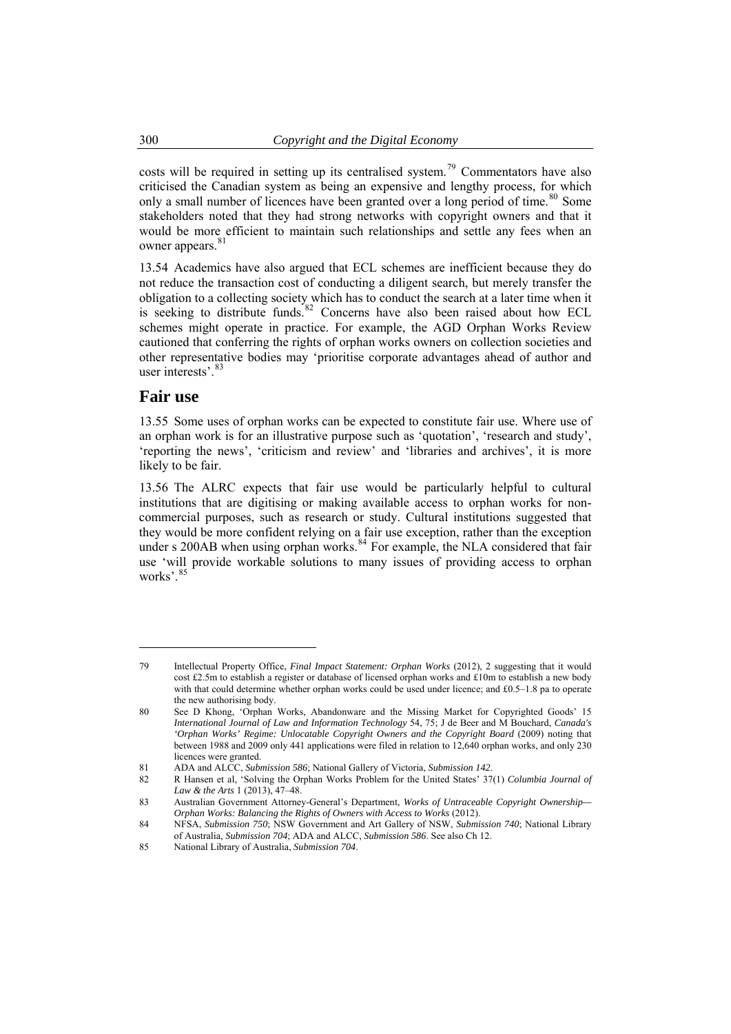<span id="page-11-0"></span>costs will be required in setting up its centralised system.79 Commentators have also criticised the Canadian system as being an expensive and lengthy process, for which only a small number of licences have been granted over a long period of time.<sup>80</sup> Some stakeholders noted that they had strong networks with copyright owners and that it would be more efficient to maintain such relationships and settle any fees when an owner appears.<sup>81</sup>

13.54 Academics have also argued that ECL schemes are inefficient because they do not reduce the transaction cost of conducting a diligent search, but merely transfer the obligation to a collecting society which has to conduct the search at a later time when it is seeking to distribute funds.<sup>[82](#page-11-1)</sup> Concerns have also been raised about how ECL schemes might operate in practice. For example, the AGD Orphan Works Review cautioned that conferring the rights of orphan works owners on collection societies and other representative bodies may 'prioritise corporate advantages ahead of author and user interests' [83](#page-11-2)

### **Fair use**

 $\overline{a}$ 

13.55 Some uses of orphan works can be expected to constitute fair use. Where use of an orphan work is for an illustrative purpose such as 'quotation', 'research and study', 'reporting the news', 'criticism and review' and 'libraries and archives', it is more likely to be fair.

13.56 The ALRC expects that fair use would be particularly helpful to cultural institutions that are digitising or making available access to orphan works for noncommercial purposes, such as research or study. Cultural institutions suggested that they would be more confident relying on a fair use exception, rather than the exception under s 200AB when using orphan works. $84$  For example, the NLA considered that fair use 'will provide workable solutions to many issues of providing access to orphan works'.<sup>8</sup>

<sup>79</sup> Intellectual Property Office, *Final Impact Statement: Orphan Works* (2012), 2 suggesting that it would cost £2.5m to establish a register or database of licensed orphan works and £10m to establish a new body with that could determine whether orphan works could be used under licence; and £0.5–1.8 pa to operate the new authorising body.

<sup>80</sup> See D Khong, 'Orphan Works, Abandonware and the Missing Market for Copyrighted Goods' 15 *International Journal of Law and Information Technology* 54, 75; J de Beer and M Bouchard, *Canada's 'Orphan Works' Regime: Unlocatable Copyright Owners and the Copyright Board* (2009) noting that between 1988 and 2009 only 441 applications were filed in relation to 12,640 orphan works, and only 230 licences were granted.

<span id="page-11-1"></span><sup>81</sup> ADA and ALCC, *Submission 586*; National Gallery of Victoria, *Submission 142*.

<sup>82</sup> R Hansen et al, 'Solving the Orphan Works Problem for the United States' 37(1) *Columbia Journal of Law & the Arts* 1 (2013), 47–48.

<span id="page-11-2"></span><sup>83</sup> Australian Government Attorney-General's Department, *Works of Untraceable Copyright Ownership— Orphan Works: Balancing the Rights of Owners with Access to Works* (2012).

<span id="page-11-3"></span><sup>84</sup> NFSA, *Submission 750*; NSW Government and Art Gallery of NSW, *Submission 740*; National Library of Australia, *Submission 704*; ADA and ALCC, *Submission 586*. See also Ch 12.

<span id="page-11-4"></span><sup>85</sup> National Library of Australia, *Submission 704*.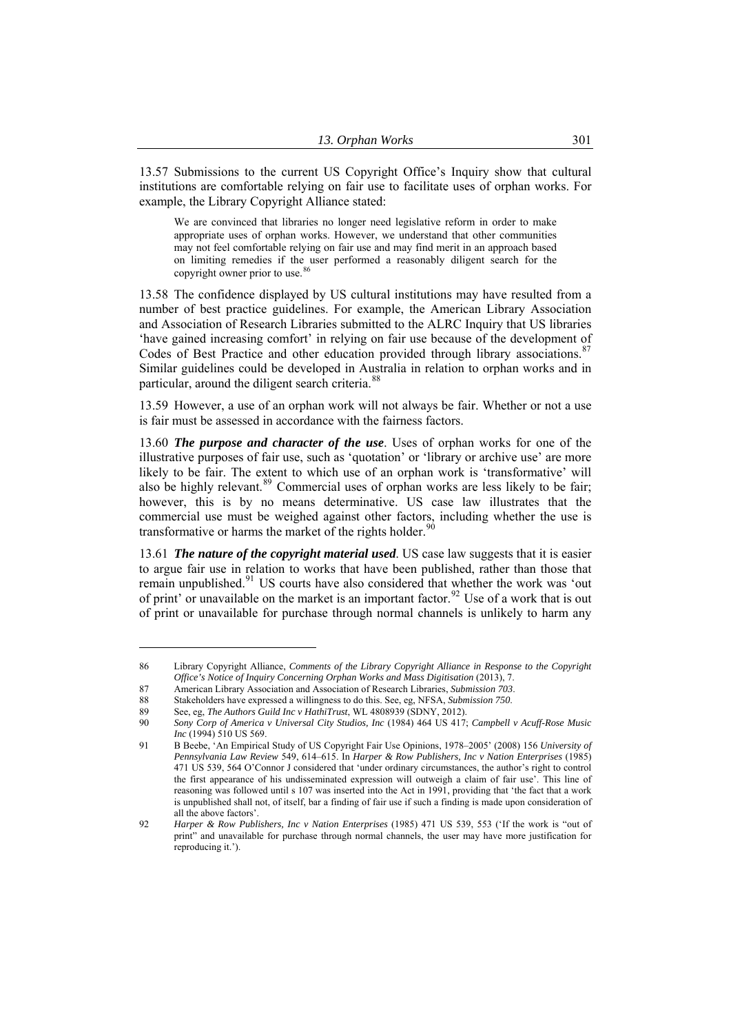13.57 Submissions to the current US Copyright Office's Inquiry show that cultural institutions are comfortable relying on fair use to facilitate uses of orphan works. For example, the Library Copyright Alliance stated:

We are convinced that libraries no longer need legislative reform in order to make appropriate uses of orphan works. However, we understand that other communities may not feel comfortable relying on fair use and may find merit in an approach based on limiting remedies if the user performed a reasonably diligent search for the copyright owner prior to use.<sup>[86](#page-12-0)</sup>

13.58 The confidence displayed by US cultural institutions may have resulted from a number of best practice guidelines. For example, the American Library Association and Association of Research Libraries submitted to the ALRC Inquiry that US libraries 'have gained increasing comfort' in relying on fair use because of the development of Codes of Best Practice and other education provided through library associations.<sup>[87](#page-12-1)</sup> Similar guidelines could be developed in Australia in relation to orphan works and in particular, around the diligent search criteria.<sup>[88](#page-12-2)</sup>

13.59 However, a use of an orphan work will not always be fair. Whether or not a use is fair must be assessed in accordance with the fairness factors.

13.60 *The purpose and character of the use*. Uses of orphan works for one of the illustrative purposes of fair use, such as 'quotation' or 'library or archive use' are more likely to be fair. The extent to which use of an orphan work is 'transformative' will also be highly relevant.<sup>[89](#page-12-3)</sup> Commercial uses of orphan works are less likely to be fair; however, this is by no means determinative. US case law illustrates that the commercial use must be weighed against other factors, including whether the use is transformative or harms the market of the rights holder.<sup>9</sup>

13.61 *The nature of the copyright material used*. US case law suggests that it is easier to argue fair use in relation to works that have been published, rather than those that remain unpublished.<sup>[91](#page-12-5)</sup> US courts have also considered that whether the work was 'out of print' or unavailable on the market is an important factor.<sup>[92](#page-12-6)</sup> Use of a work that is out of print or unavailable for purchase through normal channels is unlikely to harm any

<span id="page-12-0"></span><sup>86</sup> Library Copyright Alliance, *Comments of the Library Copyright Alliance in Response to the Copyright Office's Notice of Inquiry Concerning Orphan Works and Mass Digitisation* (2013), 7.

<sup>87</sup> American Library Association and Association of Research Libraries, *Submission 703*.

<span id="page-12-1"></span><sup>88</sup> Stakeholders have expressed a willingness to do this. See, eg, NFSA, *Submission 750*.

<span id="page-12-3"></span><span id="page-12-2"></span><sup>89</sup> See, eg, *The Authors Guild Inc v HathiTrust*, WL 4808939 (SDNY, 2012).

<span id="page-12-4"></span><sup>90</sup> *Sony Corp of America v Universal City Studios, Inc* (1984) 464 US 417; *Campbell v Acuff-Rose Music Inc* (1994) 510 US 569.

<span id="page-12-5"></span><sup>91</sup> B Beebe, 'An Empirical Study of US Copyright Fair Use Opinions, 1978–2005' (2008) 156 *University of Pennsylvania Law Review* 549, 614–615. In *Harper & Row Publishers, Inc v Nation Enterprises* (1985) 471 US 539, 564 O'Connor J considered that 'under ordinary circumstances, the author's right to control the first appearance of his undisseminated expression will outweigh a claim of fair use'. This line of reasoning was followed until s 107 was inserted into the Act in 1991, providing that 'the fact that a work is unpublished shall not, of itself, bar a finding of fair use if such a finding is made upon consideration of all the above factors'.

<span id="page-12-6"></span><sup>92</sup> *Harper & Row Publishers, Inc v Nation Enterprises* (1985) 471 US 539, 553 ('If the work is "out of print" and unavailable for purchase through normal channels, the user may have more justification for reproducing it.').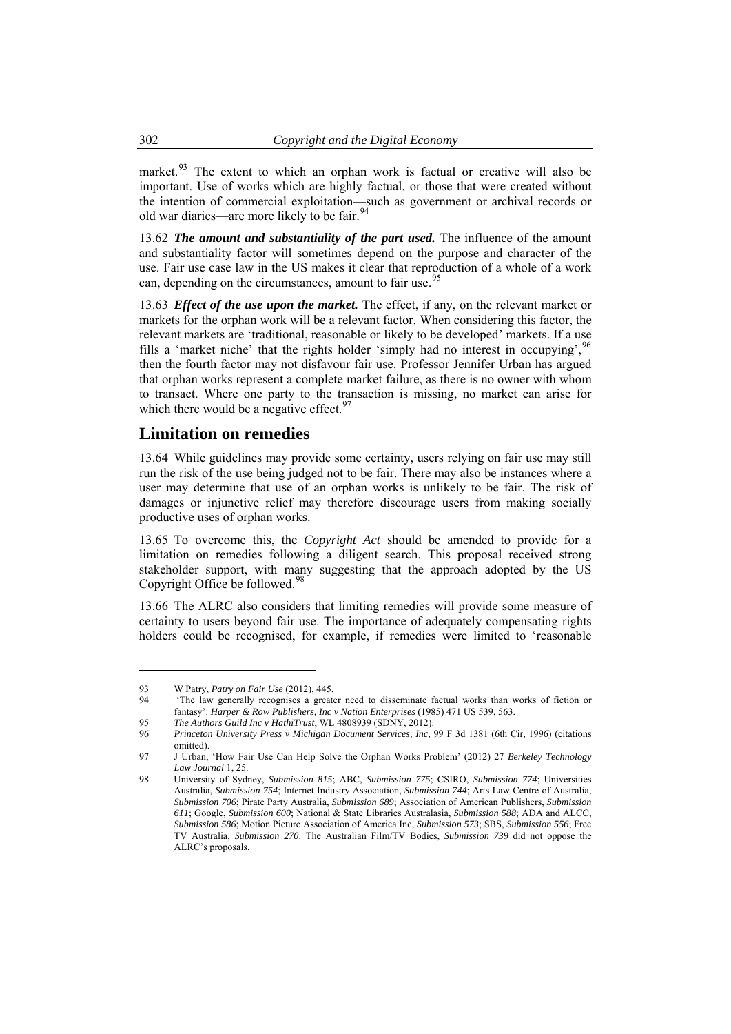<span id="page-13-0"></span>market.<sup>93</sup> The extent to which an orphan work is factual or creative will also be important. Use of works which are highly factual, or those that were created without the intention of commercial exploitation—such as government or archival records or old war diaries—are more likely to be fair.<sup>9</sup>

13.62 *The amount and substantiality of the part used.* The influence of the amount and substantiality factor will sometimes depend on the purpose and character of the use. Fair use case law in the US makes it clear that reproduction of a whole of a work can, depending on the circumstances, amount to fair use.<sup>[95](#page-13-1)</sup>

13.63 *Effect of the use upon the market.* The effect, if any, on the relevant market or markets for the orphan work will be a relevant factor. When considering this factor, the relevant markets are 'traditional, reasonable or likely to be developed' markets. If a use fills a 'market niche' that the rights holder 'simply had no interest in occupying',  $96$ then the fourth factor may not disfavour fair use. Professor Jennifer Urban has argued that orphan works represent a complete market failure, as there is no owner with whom to transact. Where one party to the transaction is missing, no market can arise for which there would be a negative effect.  $97$ 

### **Limitation on remedies**

13.64 While guidelines may provide some certainty, users relying on fair use may still run the risk of the use being judged not to be fair. There may also be instances where a user may determine that use of an orphan works is unlikely to be fair. The risk of damages or injunctive relief may therefore discourage users from making socially productive uses of orphan works.

13.65 To overcome this, the *Copyright Act* should be amended to provide for a limitation on remedies following a diligent search. This proposal received strong stakeholder support, with many suggesting that the approach adopted by the US Copyright Office be followed.<sup>[98](#page-13-4)</sup>

13.66 The ALRC also considers that limiting remedies will provide some measure of certainty to users beyond fair use. The importance of adequately compensating rights holders could be recognised, for example, if remedies were limited to 'reasonable

<sup>93</sup> W Patry, *Patry on Fair Use* (2012), 445.

<sup>94 &#</sup>x27;The law generally recognises a greater need to disseminate factual works than works of fiction or fantasy': *Harper & Row Publishers, Inc v Nation Enterprises* (1985) 471 US 539, 563.

<sup>95</sup> *The Authors Guild Inc v HathiTrust*, WL 4808939 (SDNY, 2012).

<span id="page-13-2"></span><span id="page-13-1"></span><sup>96</sup> *Princeton University Press v Michigan Document Services, Inc*, 99 F 3d 1381 (6th Cir, 1996) (citations omitted).

<span id="page-13-3"></span><sup>97</sup> J Urban, 'How Fair Use Can Help Solve the Orphan Works Problem' (2012) 27 *Berkeley Technology Law Journal* 1, 25.

<span id="page-13-4"></span><sup>98</sup> University of Sydney, *Submission 815*; ABC, *Submission 775*; CSIRO, *Submission 774*; Universities Australia, *Submission 754*; Internet Industry Association, *Submission 744*; Arts Law Centre of Australia, *Submission 706*; Pirate Party Australia, *Submission 689*; Association of American Publishers, *Submission 611*; Google, *Submission 600*; National & State Libraries Australasia, *Submission 588*; ADA and ALCC, *Submission 586*; Motion Picture Association of America Inc, *Submission 573*; SBS, *Submission 556*; Free TV Australia, *Submission 270*. The Australian Film/TV Bodies, *Submission 739* did not oppose the ALRC's proposals.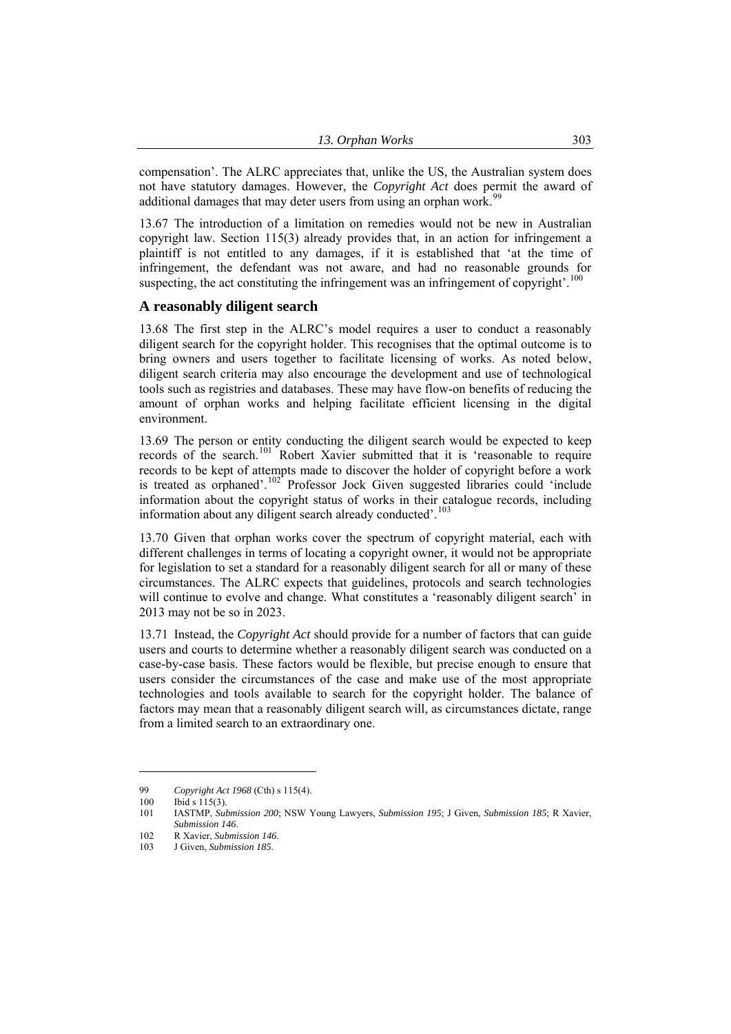<span id="page-14-0"></span>compensation'. The ALRC appreciates that, unlike the US, the Australian system does not have statutory damages. However, the *Copyright Act* does permit the award of additional damages that may deter users from using an orphan work.<sup>99</sup>

13.67 The introduction of a limitation on remedies would not be new in Australian copyright law. Section 115(3) already provides that, in an action for infringement a plaintiff is not entitled to any damages, if it is established that 'at the time of infringement, the defendant was not aware, and had no reasonable grounds for suspecting, the act constituting the infringement was an infringement of copyright'.<sup>[100](#page-14-1)</sup>

#### **A reasonably diligent search**

13.68 The first step in the ALRC's model requires a user to conduct a reasonably diligent search for the copyright holder. This recognises that the optimal outcome is to bring owners and users together to facilitate licensing of works. As noted below, diligent search criteria may also encourage the development and use of technological tools such as registries and databases. These may have flow-on benefits of reducing the amount of orphan works and helping facilitate efficient licensing in the digital environment.

13.69 The person or entity conducting the diligent search would be expected to keep records of the search.<sup>[101](#page-14-2)</sup> Robert Xavier submitted that it is 'reasonable to require records to be kept of attempts made to discover the holder of copyright before a work is treated as orphaned'.<sup>[102](#page-14-3)</sup> Professor Jock Given suggested libraries could 'include information about the copyright status of works in their catalogue records, including information about any diligent search already conducted'.<sup>[103](#page-14-4)</sup>

13.70 Given that orphan works cover the spectrum of copyright material, each with different challenges in terms of locating a copyright owner, it would not be appropriate for legislation to set a standard for a reasonably diligent search for all or many of these circumstances. The ALRC expects that guidelines, protocols and search technologies will continue to evolve and change. What constitutes a 'reasonably diligent search' in 2013 may not be so in 2023.

13.71 Instead, the *Copyright Act* should provide for a number of factors that can guide users and courts to determine whether a reasonably diligent search was conducted on a case-by-case basis. These factors would be flexible, but precise enough to ensure that users consider the circumstances of the case and make use of the most appropriate technologies and tools available to search for the copyright holder. The balance of factors may mean that a reasonably diligent search will, as circumstances dictate, range from a limited search to an extraordinary one.

<sup>99</sup> *Copyright Act 1968* (Cth) s 115(4).

<span id="page-14-2"></span><span id="page-14-1"></span><sup>100</sup> Ibid s 115(3).

<sup>101</sup> IASTMP, *Submission 200*; NSW Young Lawyers, *Submission 195*; J Given, *Submission 185*; R Xavier, *Submission 146*. 102 R Xavier, *Submission 146*.

<span id="page-14-4"></span><span id="page-14-3"></span><sup>103</sup> J Given, *Submission 185*.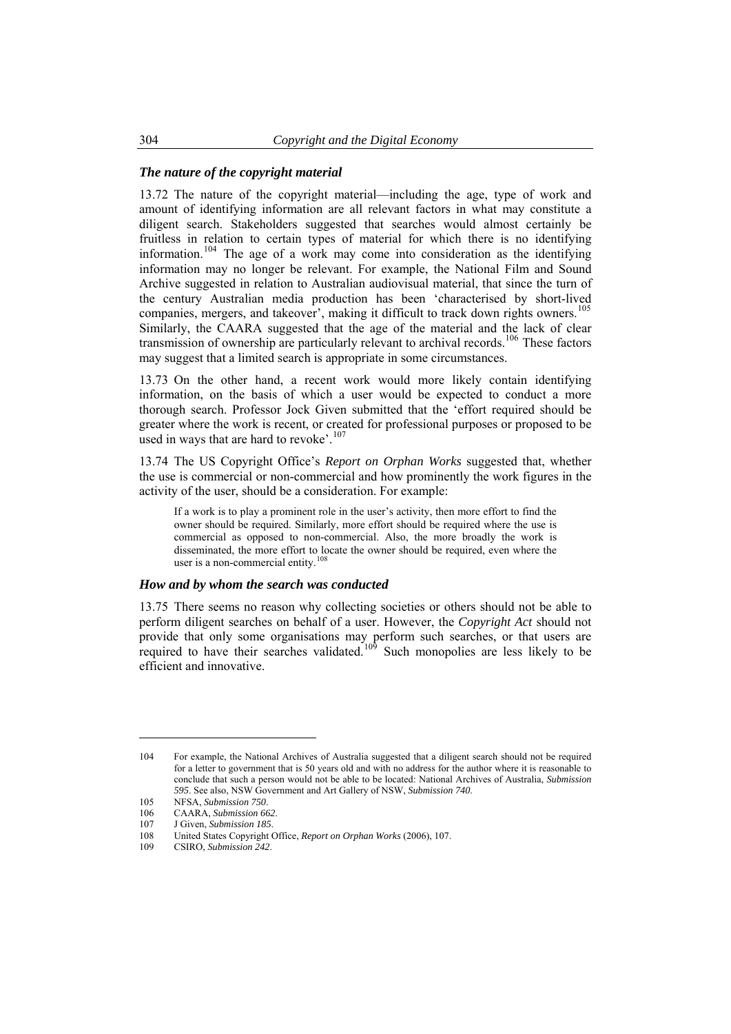#### *The nature of the copyright material*

13.72 The nature of the copyright material—including the age, type of work and amount of identifying information are all relevant factors in what may constitute a diligent search. Stakeholders suggested that searches would almost certainly be fruitless in relation to certain types of material for which there is no identifying information.<sup>[104](#page-15-0)</sup> The age of a work may come into consideration as the identifying information may no longer be relevant. For example, the National Film and Sound Archive suggested in relation to Australian audiovisual material, that since the turn of the century Australian media production has been 'characterised by short-lived companies, mergers, and takeover', making it difficult to track down rights owners.<sup>[105](#page-15-1)</sup> Similarly, the CAARA suggested that the age of the material and the lack of clear transmission of ownership are particularly relevant to archival records.<sup>[106](#page-15-2)</sup> These factors may suggest that a limited search is appropriate in some circumstances.

13.73 On the other hand, a recent work would more likely contain identifying information, on the basis of which a user would be expected to conduct a more thorough search. Professor Jock Given submitted that the 'effort required should be greater where the work is recent, or created for professional purposes or proposed to be used in ways that are hard to revoke'. $107$ 

13.74 The US Copyright Office's *Report on Orphan Works* suggested that, whether the use is commercial or non-commercial and how prominently the work figures in the activity of the user, should be a consideration. For example:

If a work is to play a prominent role in the user's activity, then more effort to find the owner should be required. Similarly, more effort should be required where the use is commercial as opposed to non-commercial. Also, the more broadly the work is disseminated, the more effort to locate the owner should be required, even where the user is a non-commercial entity.<sup>[108](#page-15-4)</sup>

#### *How and by whom the search was conducted*

13.75 There seems no reason why collecting societies or others should not be able to perform diligent searches on behalf of a user. However, the *Copyright Act* should not provide that only some organisations may perform such searches, or that users are required to have their searches validated.<sup>[109](#page-15-5)</sup> Such monopolies are less likely to be efficient and innovative.

<span id="page-15-0"></span><sup>104</sup> For example, the National Archives of Australia suggested that a diligent search should not be required for a letter to government that is 50 years old and with no address for the author where it is reasonable to conclude that such a person would not be able to be located: National Archives of Australia, *Submission 595*. See also, NSW Government and Art Gallery of NSW, *Submission 740*.

<span id="page-15-1"></span><sup>105</sup> NFSA, *Submission 750*.

<span id="page-15-2"></span><sup>106</sup> CAARA, *Submission 662*.

<sup>107</sup> J Given, *Submission 185*.

<span id="page-15-4"></span><span id="page-15-3"></span><sup>108</sup> United States Copyright Office, *Report on Orphan Works* (2006), 107.

<span id="page-15-5"></span><sup>109</sup> CSIRO, *Submission 242*.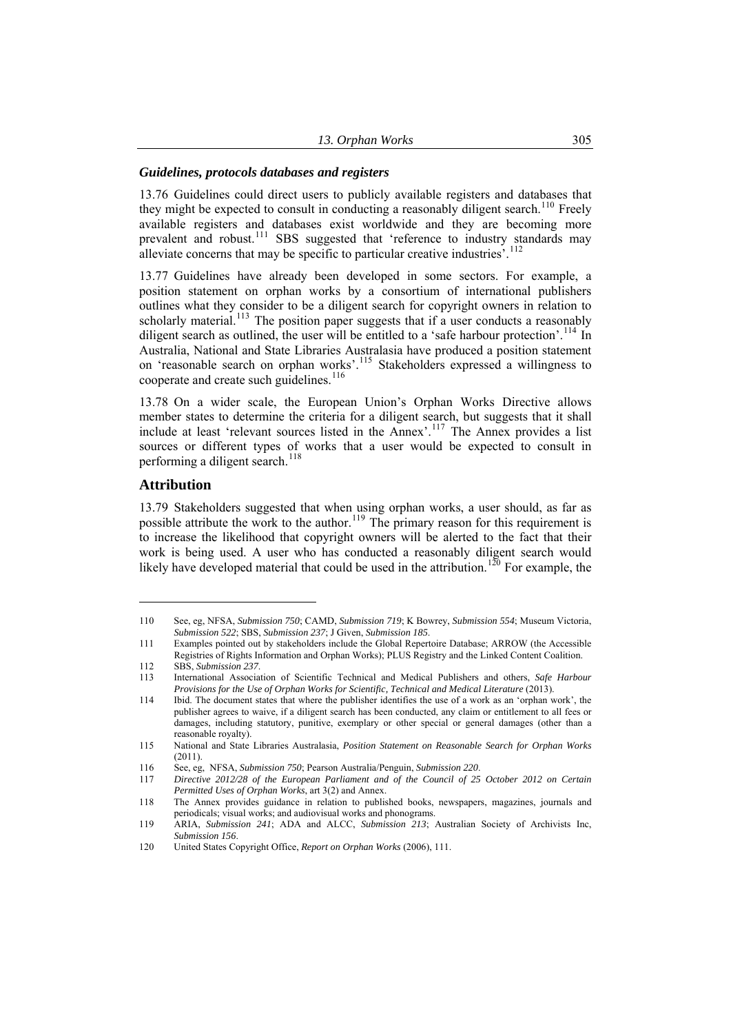#### <span id="page-16-0"></span>*Guidelines, protocols databases and registers*

13.76 Guidelines could direct users to publicly available registers and databases that they might be expected to consult in conducting a reasonably diligent search.<sup>[110](#page-16-1)</sup> Freely available registers and databases exist worldwide and they are becoming more prevalent and robust.<sup>[111](#page-16-2)</sup> SBS suggested that 'reference to industry standards may alleviate concerns that may be specific to particular creative industries<sup>5</sup>.<sup>[112](#page-16-3)</sup>

13.77 Guidelines have already been developed in some sectors. For example, a position statement on orphan works by a consortium of international publishers outlines what they consider to be a diligent search for copyright owners in relation to scholarly material.<sup>[113](#page-16-4)</sup> The position paper suggests that if a user conducts a reasonably diligent search as outlined, the user will be entitled to a 'safe harbour protection'.<sup>[114](#page-16-5)</sup> In Australia, National and State Libraries Australasia have produced a position statement on 'reasonable search on orphan works'.[115](#page-16-6) Stakeholders expressed a willingness to cooperate and create such guidelines.<sup>[116](#page-16-7)</sup>

13.78 On a wider scale, the European Union's Orphan Works Directive allows member states to determine the criteria for a diligent search, but suggests that it shall include at least 'relevant sources listed in the Annex'.<sup>[117](#page-16-8)</sup> The Annex provides a list sources or different types of works that a user would be expected to consult in performing a diligent search. $118$ 

#### **Attribution**

 $\overline{a}$ 

13.79 Stakeholders suggested that when using orphan works, a user should, as far as possible attribute the work to the author.<sup>[119](#page-16-10)</sup> The primary reason for this requirement is to increase the likelihood that copyright owners will be alerted to the fact that their work is being used. A user who has conducted a reasonably diligent search would likely have developed material that could be used in the attribution.<sup>[120](#page-16-11)</sup> For example, the

<span id="page-16-1"></span><sup>110</sup> See, eg, NFSA, *Submission 750*; CAMD, *Submission 719*; K Bowrey, *Submission 554*; Museum Victoria, *Submission 522*; SBS, *Submission 237*; J Given, *Submission 185*.

<span id="page-16-2"></span><sup>111</sup> Examples pointed out by stakeholders include the Global Repertoire Database; ARROW (the Accessible Registries of Rights Information and Orphan Works); PLUS Registry and the Linked Content Coalition.

<span id="page-16-3"></span><sup>112</sup> SBS, *Submission 237*.

<span id="page-16-4"></span><sup>113</sup> International Association of Scientific Technical and Medical Publishers and others, *Safe Harbour Provisions for the Use of Orphan Works for Scientific, Technical and Medical Literature* (2013).

<span id="page-16-5"></span><sup>114</sup> Ibid. The document states that where the publisher identifies the use of a work as an 'orphan work', the publisher agrees to waive, if a diligent search has been conducted, any claim or entitlement to all fees or damages, including statutory, punitive, exemplary or other special or general damages (other than a reasonable royalty).

<span id="page-16-6"></span><sup>115</sup> National and State Libraries Australasia, *Position Statement on Reasonable Search for Orphan Works*  $(2011)$ 

<span id="page-16-8"></span><span id="page-16-7"></span><sup>116</sup> See, eg, NFSA, *Submission 750*; Pearson Australia/Penguin, *Submission 220*.

<sup>117</sup> *Directive 2012/28 of the European Parliament and of the Council of 25 October 2012 on Certain Permitted Uses of Orphan Works*, art 3(2) and Annex.

<span id="page-16-9"></span><sup>118</sup> The Annex provides guidance in relation to published books, newspapers, magazines, journals and periodicals; visual works; and audiovisual works and phonograms.

<span id="page-16-10"></span><sup>119</sup> ARIA, *Submission 241*; ADA and ALCC, *Submission 213*; Australian Society of Archivists Inc, *Submission 156*.

<span id="page-16-11"></span><sup>120</sup> United States Copyright Office, *Report on Orphan Works* (2006), 111.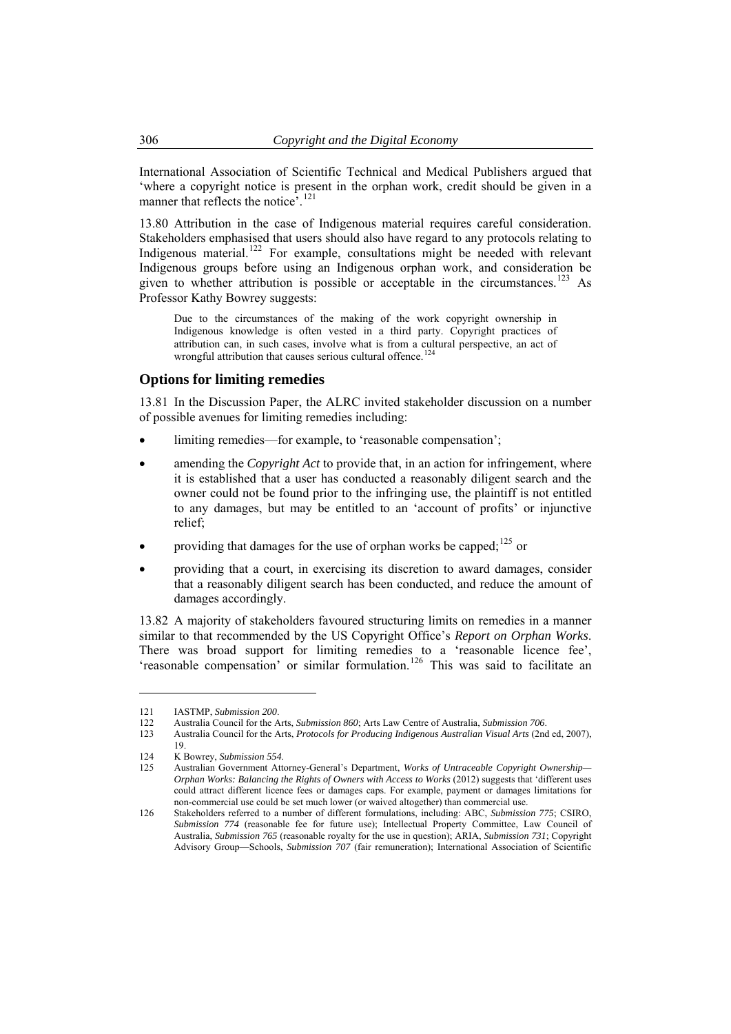International Association of Scientific Technical and Medical Publishers argued that 'where a copyright notice is present in the orphan work, credit should be given in a manner that reflects the notice<sup>5</sup>.<sup>121</sup>

13.80 Attribution in the case of Indigenous material requires careful consideration. Stakeholders emphasised that users should also have regard to any protocols relating to Indigenous material.<sup>[122](#page-17-1)</sup> For example, consultations might be needed with relevant Indigenous groups before using an Indigenous orphan work, and consideration be given to whether attribution is possible or acceptable in the circumstances.<sup>[123](#page-17-2)</sup> As Professor Kathy Bowrey suggests:

Due to the circumstances of the making of the work copyright ownership in Indigenous knowledge is often vested in a third party. Copyright practices of attribution can, in such cases, involve what is from a cultural perspective, an act of wrongful attribution that causes serious cultural offence.<sup>[124](#page-17-3)</sup>

#### **Options for limiting remedies**

13.81 In the Discussion Paper, the ALRC invited stakeholder discussion on a number of possible avenues for limiting remedies including:

- limiting remedies—for example, to 'reasonable compensation';
- amending the *Copyright Act* to provide that, in an action for infringement, where it is established that a user has conducted a reasonably diligent search and the owner could not be found prior to the infringing use, the plaintiff is not entitled to any damages, but may be entitled to an 'account of profits' or injunctive relief;
- providing that damages for the use of orphan works be capped; $^{125}$  $^{125}$  $^{125}$  or
- providing that a court, in exercising its discretion to award damages, consider that a reasonably diligent search has been conducted, and reduce the amount of damages accordingly.

13.82 A majority of stakeholders favoured structuring limits on remedies in a manner similar to that recommended by the US Copyright Office's *Report on Orphan Works*. There was broad support for limiting remedies to a 'reasonable licence fee', 'reasonable compensation' or similar formulation.[126](#page-17-5) This was said to facilitate an

<span id="page-17-0"></span>

<sup>121</sup> IASTMP, *Submission 200*.

<sup>122</sup> Australia Council for the Arts, *Submission 860*; Arts Law Centre of Australia, *Submission 706*.

<span id="page-17-2"></span><span id="page-17-1"></span><sup>123</sup> Australia Council for the Arts, *Protocols for Producing Indigenous Australian Visual Arts* (2nd ed, 2007), 19.

<span id="page-17-3"></span><sup>124</sup> K Bowrey, *Submission 554*.

<span id="page-17-4"></span><sup>125</sup> Australian Government Attorney-General's Department, *Works of Untraceable Copyright Ownership— Orphan Works: Balancing the Rights of Owners with Access to Works* (2012) suggests that 'different uses could attract different licence fees or damages caps. For example, payment or damages limitations for non-commercial use could be set much lower (or waived altogether) than commercial use.

<span id="page-17-5"></span><sup>126</sup> Stakeholders referred to a number of different formulations, including: ABC, *Submission 775*; CSIRO, *Submission 774* (reasonable fee for future use); Intellectual Property Committee, Law Council of Australia, *Submission 765* (reasonable royalty for the use in question); ARIA, *Submission 731*; Copyright Advisory Group—Schools, *Submission 707* (fair remuneration); International Association of Scientific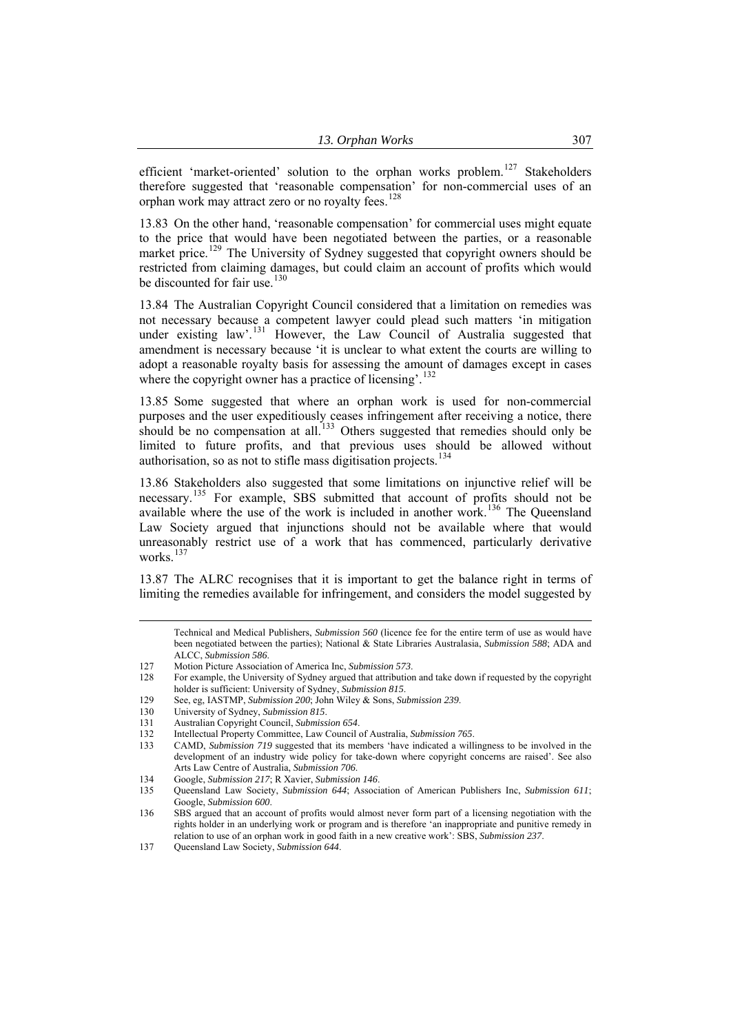efficient 'market-oriented' solution to the orphan works problem.<sup>127</sup> Stakeholders therefore suggested that 'reasonable compensation' for non-commercial uses of an orphan work may attract zero or no royalty fees.<sup>128</sup>

13.83 On the other hand, 'reasonable compensation' for commercial uses might equate to the price that would have been negotiated between the parties, or a reasonable market price.<sup>[129](#page-18-0)</sup> The University of Sydney suggested that copyright owners should be restricted from claiming damages, but could claim an account of profits which would be discounted for fair use.<sup>[130](#page-18-1)</sup>

13.84 The Australian Copyright Council considered that a limitation on remedies was not necessary because a competent lawyer could plead such matters 'in mitigation under existing law'.<sup>[131](#page-18-2)</sup> However, the Law Council of Australia suggested that amendment is necessary because 'it is unclear to what extent the courts are willing to adopt a reasonable royalty basis for assessing the amount of damages except in cases where the copyright owner has a practice of licensing'.<sup>[132](#page-18-3)</sup>

13.85 Some suggested that where an orphan work is used for non-commercial purposes and the user expeditiously ceases infringement after receiving a notice, there should be no compensation at all.<sup>[133](#page-18-4)</sup> Others suggested that remedies should only be limited to future profits, and that previous uses should be allowed without authorisation, so as not to stifle mass digitisation projects.<sup>[134](#page-18-5)</sup>

13.86 Stakeholders also suggested that some limitations on injunctive relief will be necessary.<sup>[135](#page-18-6)</sup> For example, SBS submitted that account of profits should not be available where the use of the work is included in another work.<sup>[136](#page-18-7)</sup> The Queensland Law Society argued that injunctions should not be available where that would unreasonably restrict use of a work that has commenced, particularly derivative works.<sup>[137](#page-18-8)</sup>

13.87 The ALRC recognises that it is important to get the balance right in terms of limiting the remedies available for infringement, and considers the model suggested by

Technical and Medical Publishers, *Submission <sup>560</sup>* (licence fee for the entire term of use as would have been negotiated between the parties); National & State Libraries Australasia, *Submission 588*; ADA and ALCC, *Submission 586*.

<sup>127</sup> Motion Picture Association of America Inc, *Submission 573*.

<sup>128</sup> For example, the University of Sydney argued that attribution and take down if requested by the copyright holder is sufficient: University of Sydney, *Submission 815*.

<span id="page-18-0"></span><sup>129</sup> See, eg, IASTMP, *Submission 200*; John Wiley & Sons, *Submission 239*.

<sup>130</sup> University of Sydney, *Submission 815*.

<span id="page-18-2"></span><span id="page-18-1"></span><sup>131</sup> Australian Copyright Council, *Submission 654*.

<span id="page-18-3"></span><sup>132</sup> Intellectual Property Committee, Law Council of Australia, *Submission 765*.

<span id="page-18-4"></span><sup>133</sup> CAMD, *Submission 719* suggested that its members 'have indicated a willingness to be involved in the development of an industry wide policy for take-down where copyright concerns are raised'. See also Arts Law Centre of Australia, *Submission 706*.

<sup>134</sup> Google, *Submission 217*; R Xavier, *Submission 146*.

<span id="page-18-6"></span><span id="page-18-5"></span><sup>135</sup> Queensland Law Society, *Submission 644*; Association of American Publishers Inc, *Submission 611*; Google, *Submission 600*.

<span id="page-18-7"></span><sup>136</sup> SBS argued that an account of profits would almost never form part of a licensing negotiation with the rights holder in an underlying work or program and is therefore 'an inappropriate and punitive remedy in relation to use of an orphan work in good faith in a new creative work': SBS, *Submission 237*.

<span id="page-18-8"></span><sup>137</sup> Queensland Law Society, *Submission 644*.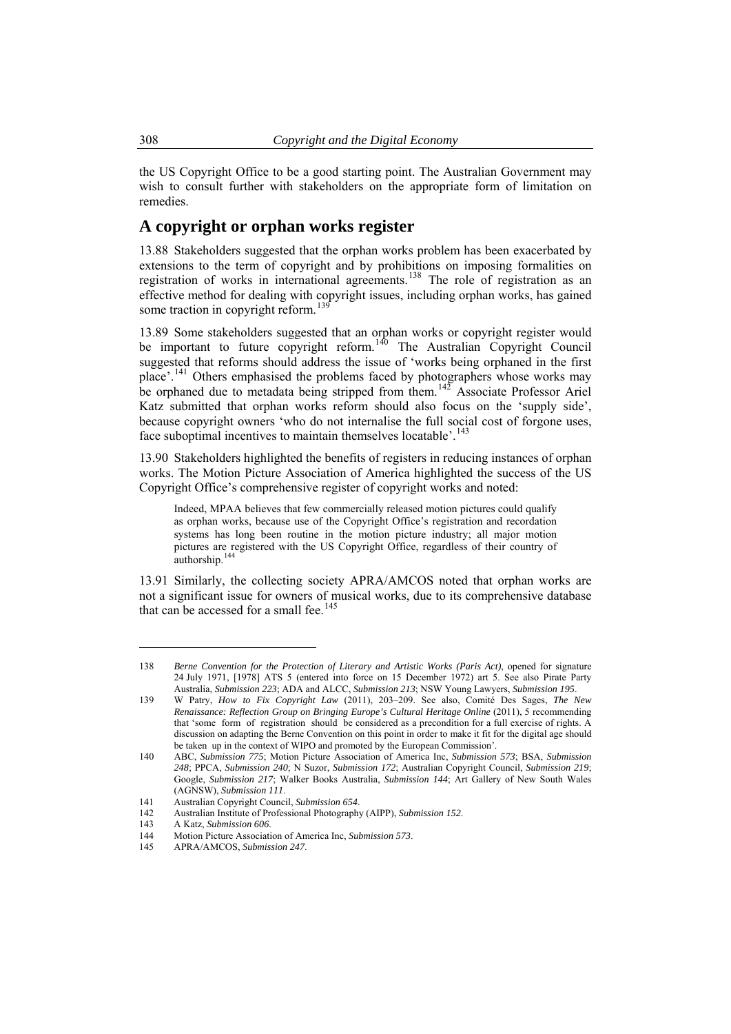<span id="page-19-0"></span>the US Copyright Office to be a good starting point. The Australian Government may wish to consult further with stakeholders on the appropriate form of limitation on remedies.

# **A copyright or orphan works register**

13.88 Stakeholders suggested that the orphan works problem has been exacerbated by extensions to the term of copyright and by prohibitions on imposing formalities on registration of works in international agreements.<sup>[138](#page-19-1)</sup> The role of registration as an effective method for dealing with copyright issues, including orphan works, has gained some traction in copyright reform.<sup>[139](#page-19-2)</sup>

13.89 Some stakeholders suggested that an orphan works or copyright register would be important to future copyright reform.<sup>[140](#page-19-3)</sup> The Australian Copyright Council suggested that reforms should address the issue of 'works being orphaned in the first place'.<sup>[141](#page-19-4)</sup> Others emphasised the problems faced by photographers whose works may be orphaned due to metadata being stripped from them.<sup>[142](#page-19-5)</sup> Associate Professor Ariel Katz submitted that orphan works reform should also focus on the 'supply side', because copyright owners 'who do not internalise the full social cost of forgone uses, face suboptimal incentives to maintain themselves locatable'.<sup>[143](#page-19-6)</sup>

13.90 Stakeholders highlighted the benefits of registers in reducing instances of orphan works. The Motion Picture Association of America highlighted the success of the US Copyright Office's comprehensive register of copyright works and noted:

Indeed, MPAA believes that few commercially released motion pictures could qualify as orphan works, because use of the Copyright Office's registration and recordation systems has long been routine in the motion picture industry; all major motion pictures are registered with the US Copyright Office, regardless of their country of authorship.<sup>14</sup>

13.91 Similarly, the collecting society APRA/AMCOS noted that orphan works are not a significant issue for owners of musical works, due to its comprehensive database that can be accessed for a small fee.<sup>[145](#page-19-8)</sup>

<span id="page-19-1"></span><sup>138</sup> *Berne Convention for the Protection of Literary and Artistic Works (Paris Act)*, opened for signature 24 July 1971, [1978] ATS 5 (entered into force on 15 December 1972) art 5. See also Pirate Party Australia, *Submission 223*; ADA and ALCC, *Submission 213*; NSW Young Lawyers, *Submission 195*.

<span id="page-19-2"></span><sup>139</sup> W Patry, *How to Fix Copyright Law* (2011), 203–209. See also, Comité Des Sages, *The New Renaissance: Reflection Group on Bringing Europe's Cultural Heritage Online* (2011), 5 recommending that 'some form of registration should be considered as a precondition for a full exercise of rights. A discussion on adapting the Berne Convention on this point in order to make it fit for the digital age should be taken up in the context of WIPO and promoted by the European Commission'.

<span id="page-19-3"></span><sup>140</sup> ABC, *Submission 775*; Motion Picture Association of America Inc, *Submission 573*; BSA, *Submission 248*; PPCA, *Submission 240*; N Suzor, *Submission 172*; Australian Copyright Council, *Submission 219*; Google, *Submission 217*; Walker Books Australia, *Submission 144*; Art Gallery of New South Wales (AGNSW), *Submission 111*.

<span id="page-19-4"></span><sup>141</sup> Australian Copyright Council, *Submission 654*.

<sup>142</sup> Australian Institute of Professional Photography (AIPP), *Submission 152*.

<span id="page-19-6"></span><span id="page-19-5"></span><sup>143</sup> A Katz, *Submission 606*.

<span id="page-19-7"></span><sup>144</sup> Motion Picture Association of America Inc, *Submission 573*.

<span id="page-19-8"></span><sup>145</sup> APRA/AMCOS, *Submission 247*.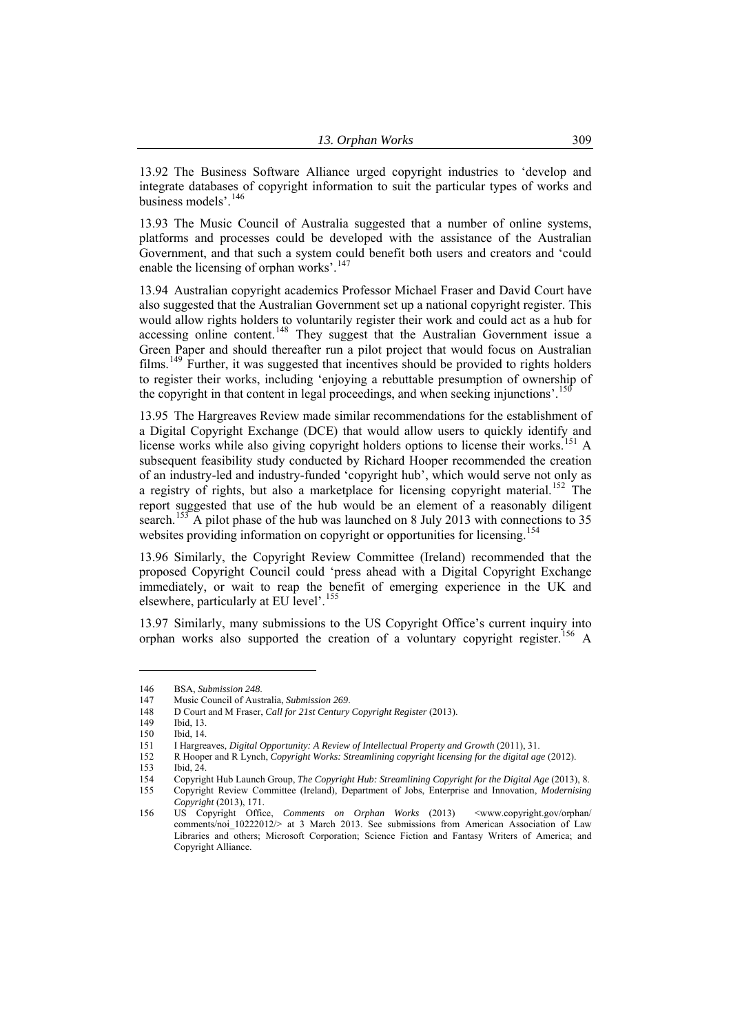13.92 The Business Software Alliance urged copyright industries to 'develop and integrate databases of copyright information to suit the particular types of works and business models'.[146](#page-20-0)

13.93 The Music Council of Australia suggested that a number of online systems, platforms and processes could be developed with the assistance of the Australian Government, and that such a system could benefit both users and creators and 'could enable the licensing of orphan works'.<sup>[147](#page-20-1)</sup>

13.94 Australian copyright academics Professor Michael Fraser and David Court have also suggested that the Australian Government set up a national copyright register. This would allow rights holders to voluntarily register their work and could act as a hub for accessing online content.<sup>[148](#page-20-2)</sup> They suggest that the Australian Government issue a Green Paper and should thereafter run a pilot project that would focus on Australian films.[149](#page-20-3) Further, it was suggested that incentives should be provided to rights holders to register their works, including 'enjoying a rebuttable presumption of ownership of the copyright in that content in legal proceedings, and when seeking injunctions'.<sup>[150](#page-20-4)</sup>

13.95 The Hargreaves Review made similar recommendations for the establishment of a Digital Copyright Exchange (DCE) that would allow users to quickly identify and license works while also giving copyright holders options to license their works.<sup>[151](#page-20-5)</sup> A subsequent feasibility study conducted by Richard Hooper recommended the creation of an industry-led and industry-funded 'copyright hub', which would serve not only as a registry of rights, but also a marketplace for licensing copyright material.<sup>[152](#page-20-6)</sup> The report suggested that use of the hub would be an element of a reasonably diligent search.<sup>[153](#page-20-7)</sup> A pilot phase of the hub was launched on 8 July 2013 with connections to 35 websites providing information on copyright or opportunities for licensing.<sup>[154](#page-20-8)</sup>

13.96 Similarly, the Copyright Review Committee (Ireland) recommended that the proposed Copyright Council could 'press ahead with a Digital Copyright Exchange immediately, or wait to reap the benefit of emerging experience in the UK and elsewhere, particularly at EU level'.<sup>[155](#page-20-9)</sup>

13.97 Similarly, many submissions to the US Copyright Office's current inquiry into orphan works also supported the creation of a voluntary copyright register.[156](#page-20-10) A

<span id="page-20-0"></span><sup>146</sup> BSA, *Submission 248*. 147 Music Council of Australia, *Submission 269*.

<span id="page-20-3"></span><span id="page-20-2"></span><span id="page-20-1"></span><sup>148</sup> D Court and M Fraser, *Call for 21st Century Copyright Register* (2013).

<sup>149</sup> Ibid, 13.

<sup>150</sup> Ibid, 14.<br>151 I Hargre

<span id="page-20-6"></span><span id="page-20-5"></span><span id="page-20-4"></span><sup>151</sup> I Hargreaves, *Digital Opportunity: A Review of Intellectual Property and Growth* (2011), 31.

<sup>152</sup> R Hooper and R Lynch, *Copyright Works: Streamlining copyright licensing for the digital age* (2012).

<span id="page-20-7"></span><sup>153</sup> Ibid, 24.

<span id="page-20-9"></span><span id="page-20-8"></span><sup>154</sup> Copyright Hub Launch Group, *The Copyright Hub: Streamlining Copyright for the Digital Age* (2013), 8. 155 Copyright Review Committee (Ireland), Department of Jobs, Enterprise and Innovation, *Modernising* 

*Copyright* (2013), 171.

<span id="page-20-10"></span><sup>156</sup> US Copyright Office, *Comments on Orphan Works* (2013) <www.copyright.gov/orphan/ comments/noi  $10222012$ / $>$  at 3 March 2013. See submissions from American Association of Law Libraries and others; Microsoft Corporation; Science Fiction and Fantasy Writers of America; and Copyright Alliance.